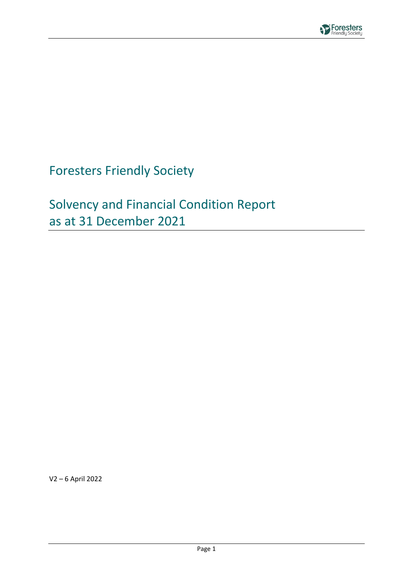

# Foresters Friendly Society

# Solvency and Financial Condition Report as at 31 December 2021

V2 – 6 April 2022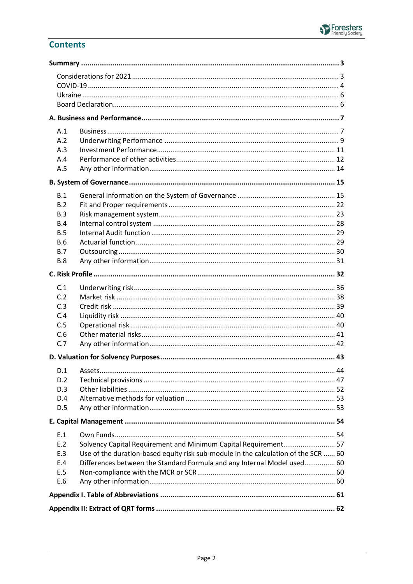### **Contents**

| A.1<br>A.2<br>A.3<br>A.4<br>A.5                                                                                                                                                                                                                                            |  |
|----------------------------------------------------------------------------------------------------------------------------------------------------------------------------------------------------------------------------------------------------------------------------|--|
|                                                                                                                                                                                                                                                                            |  |
| B.1<br>B.2<br>B.3<br>B.4<br>B.5<br><b>B.6</b><br>B.7<br><b>B.8</b>                                                                                                                                                                                                         |  |
|                                                                                                                                                                                                                                                                            |  |
| C.1<br>C.2<br>C.3<br>C.4<br>C.5<br>C.6<br>C.7                                                                                                                                                                                                                              |  |
|                                                                                                                                                                                                                                                                            |  |
| D.1<br>D.2<br>D.3<br>D.4<br>D.5                                                                                                                                                                                                                                            |  |
|                                                                                                                                                                                                                                                                            |  |
| E.1<br>Solvency Capital Requirement and Minimum Capital Requirement 57<br>E.2<br>Use of the duration-based equity risk sub-module in the calculation of the SCR  60<br>E.3<br>Differences between the Standard Formula and any Internal Model used 60<br>E.4<br>E.5<br>E.6 |  |
|                                                                                                                                                                                                                                                                            |  |
|                                                                                                                                                                                                                                                                            |  |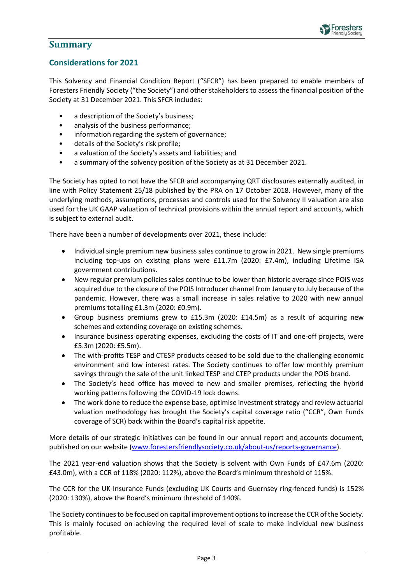

### <span id="page-2-0"></span>**Summary**

### <span id="page-2-1"></span>**Considerations for 2021**

This Solvency and Financial Condition Report ("SFCR") has been prepared to enable members of Foresters Friendly Society ("the Society") and other stakeholders to assess the financial position of the Society at 31 December 2021. This SFCR includes:

- a description of the Society's business;
- analysis of the business performance;
- information regarding the system of governance;
- details of the Society's risk profile;
- a valuation of the Society's assets and liabilities; and
- a summary of the solvency position of the Society as at 31 December 2021.

The Society has opted to not have the SFCR and accompanying QRT disclosures externally audited, in line with Policy Statement 25/18 published by the PRA on 17 October 2018. However, many of the underlying methods, assumptions, processes and controls used for the Solvency II valuation are also used for the UK GAAP valuation of technical provisions within the annual report and accounts, which is subject to external audit.

There have been a number of developments over 2021, these include:

- Individual single premium new business sales continue to grow in 2021. New single premiums including top-ups on existing plans were £11.7m (2020: £7.4m), including Lifetime ISA government contributions.
- New regular premium policies sales continue to be lower than historic average since POIS was acquired due to the closure of the POIS Introducer channel from January to July because of the pandemic. However, there was a small increase in sales relative to 2020 with new annual premiums totalling £1.3m (2020: £0.9m).
- Group business premiums grew to £15.3m (2020: £14.5m) as a result of acquiring new schemes and extending coverage on existing schemes.
- Insurance business operating expenses, excluding the costs of IT and one-off projects, were £5.3m (2020: £5.5m).
- The with-profits TESP and CTESP products ceased to be sold due to the challenging economic environment and low interest rates. The Society continues to offer low monthly premium savings through the sale of the unit linked TESP and CTEP products under the POIS brand.
- The Society's head office has moved to new and smaller premises, reflecting the hybrid working patterns following the COVID-19 lock downs.
- The work done to reduce the expense base, optimise investment strategy and review actuarial valuation methodology has brought the Society's capital coverage ratio ("CCR", Own Funds coverage of SCR) back within the Board's capital risk appetite.

More details of our strategic initiatives can be found in our annual report and accounts document, published on our website [\(www.forestersfriendlysociety.co.uk/about-us/reports-governance\)](https://www.forestersfriendlysociety.co.uk/about-us/reports-governance).

The 2021 year-end valuation shows that the Society is solvent with Own Funds of £47.6m (2020: £43.0m), with a CCR of 118% (2020: 112%), above the Board's minimum threshold of 115%.

The CCR for the UK Insurance Funds (excluding UK Courts and Guernsey ring-fenced funds) is 152% (2020: 130%), above the Board's minimum threshold of 140%.

The Society continues to be focused on capital improvement options to increase the CCR of the Society. This is mainly focused on achieving the required level of scale to make individual new business profitable.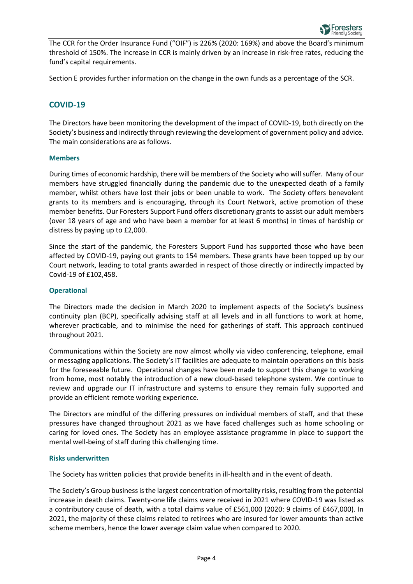

The CCR for the Order Insurance Fund ("OIF") is 226% (2020: 169%) and above the Board's minimum threshold of 150%. The increase in CCR is mainly driven by an increase in risk-free rates, reducing the fund's capital requirements.

Section E provides further information on the change in the own funds as a percentage of the SCR.

### <span id="page-3-0"></span>**COVID-19**

The Directors have been monitoring the development of the impact of COVID-19, both directly on the Society's business and indirectly through reviewing the development of government policy and advice. The main considerations are as follows.

#### **Members**

During times of economic hardship, there will be members of the Society who will suffer. Many of our members have struggled financially during the pandemic due to the unexpected death of a family member, whilst others have lost their jobs or been unable to work. The Society offers benevolent grants to its members and is encouraging, through its Court Network, active promotion of these member benefits. Our Foresters Support Fund offers discretionary grants to assist our adult members (over 18 years of age and who have been a member for at least 6 months) in times of hardship or distress by paying up to £2,000.

Since the start of the pandemic, the Foresters Support Fund has supported those who have been affected by COVID-19, paying out grants to 154 members. These grants have been topped up by our Court network, leading to total grants awarded in respect of those directly or indirectly impacted by Covid-19 of £102,458.

#### **Operational**

The Directors made the decision in March 2020 to implement aspects of the Society's business continuity plan (BCP), specifically advising staff at all levels and in all functions to work at home, wherever practicable, and to minimise the need for gatherings of staff. This approach continued throughout 2021.

Communications within the Society are now almost wholly via video conferencing, telephone, email or messaging applications. The Society's IT facilities are adequate to maintain operations on this basis for the foreseeable future. Operational changes have been made to support this change to working from home, most notably the introduction of a new cloud-based telephone system. We continue to review and upgrade our IT infrastructure and systems to ensure they remain fully supported and provide an efficient remote working experience.

The Directors are mindful of the differing pressures on individual members of staff, and that these pressures have changed throughout 2021 as we have faced challenges such as home schooling or caring for loved ones. The Society has an employee assistance programme in place to support the mental well-being of staff during this challenging time.

#### **Risks underwritten**

The Society has written policies that provide benefits in ill-health and in the event of death.

The Society's Group business is the largest concentration of mortality risks, resulting from the potential increase in death claims. Twenty-one life claims were received in 2021 where COVID-19 was listed as a contributory cause of death, with a total claims value of £561,000 (2020: 9 claims of £467,000). In 2021, the majority of these claims related to retirees who are insured for lower amounts than active scheme members, hence the lower average claim value when compared to 2020.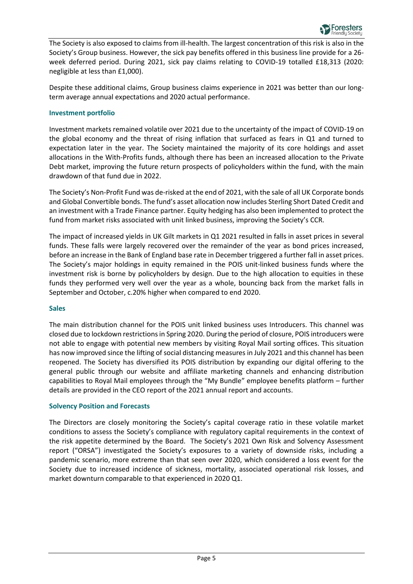

The Society is also exposed to claims from ill-health. The largest concentration of this risk is also in the Society's Group business. However, the sick pay benefits offered in this business line provide for a 26 week deferred period. During 2021, sick pay claims relating to COVID-19 totalled £18,313 (2020: negligible at less than £1,000).

Despite these additional claims, Group business claims experience in 2021 was better than our longterm average annual expectations and 2020 actual performance.

#### **Investment portfolio**

Investment markets remained volatile over 2021 due to the uncertainty of the impact of COVID-19 on the global economy and the threat of rising inflation that surfaced as fears in Q1 and turned to expectation later in the year. The Society maintained the majority of its core holdings and asset allocations in the With-Profits funds, although there has been an increased allocation to the Private Debt market, improving the future return prospects of policyholders within the fund, with the main drawdown of that fund due in 2022.

The Society's Non-Profit Fund was de-risked at the end of 2021, with the sale of all UK Corporate bonds and Global Convertible bonds. The fund's asset allocation now includes Sterling Short Dated Credit and an investment with a Trade Finance partner. Equity hedging has also been implemented to protect the fund from market risks associated with unit linked business, improving the Society's CCR.

The impact of increased yields in UK Gilt markets in Q1 2021 resulted in falls in asset prices in several funds. These falls were largely recovered over the remainder of the year as bond prices increased, before an increase in the Bank of England base rate in December triggered a further fall in asset prices. The Society's major holdings in equity remained in the POIS unit-linked business funds where the investment risk is borne by policyholders by design. Due to the high allocation to equities in these funds they performed very well over the year as a whole, bouncing back from the market falls in September and October, c.20% higher when compared to end 2020.

#### **Sales**

The main distribution channel for the POIS unit linked business uses Introducers. This channel was closed due to lockdown restrictions in Spring 2020. During the period of closure, POIS introducers were not able to engage with potential new members by visiting Royal Mail sorting offices. This situation has now improved since the lifting of social distancing measures in July 2021 and this channel has been reopened. The Society has diversified its POIS distribution by expanding our digital offering to the general public through our website and affiliate marketing channels and enhancing distribution capabilities to Royal Mail employees through the "My Bundle" employee benefits platform – further details are provided in the CEO report of the 2021 annual report and accounts.

#### **Solvency Position and Forecasts**

The Directors are closely monitoring the Society's capital coverage ratio in these volatile market conditions to assess the Society's compliance with regulatory capital requirements in the context of the risk appetite determined by the Board. The Society's 2021 Own Risk and Solvency Assessment report ("ORSA") investigated the Society's exposures to a variety of downside risks, including a pandemic scenario, more extreme than that seen over 2020, which considered a loss event for the Society due to increased incidence of sickness, mortality, associated operational risk losses, and market downturn comparable to that experienced in 2020 Q1.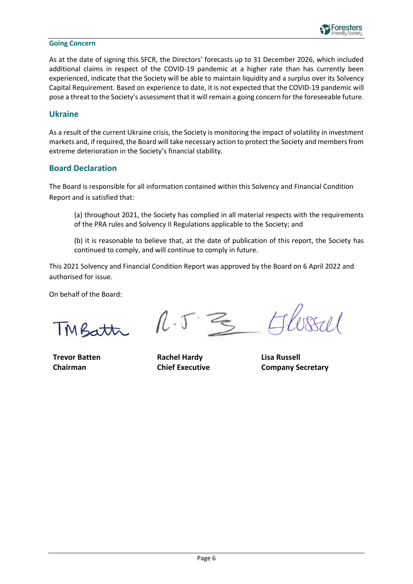

#### **Going Concern**

As at the date of signing this SFCR, the Directors' forecasts up to 31 December 2026, which included additional claims in respect of the COVID-19 pandemic at a higher rate than has currently been experienced, indicate that the Society will be able to maintain liquidity and a surplus over its Solvency Capital Requirement. Based on experience to date, it is not expected that the COVID-19 pandemic will pose a threat to the Society's assessment that it will remain a going concern for the foreseeable future.

#### <span id="page-5-0"></span>**Ukraine**

As a result of the current Ukraine crisis, the Society is monitoring the impact of volatility in investment markets and, if required, the Board will take necessary action to protect the Society and members from extreme deterioration in the Society's financial stability.

#### <span id="page-5-1"></span>**Board Declaration**

The Board is responsible for all information contained within this Solvency and Financial Condition Report and is satisfied that:

(a) throughout 2021, the Society has complied in all material respects with the requirements of the PRA rules and Solvency II Regulations applicable to the Society; and

(b) it is reasonable to believe that, at the date of publication of this report, the Society has continued to comply, and will continue to comply in future.

This 2021 Solvency and Financial Condition Report was approved by the Board on 6 April 2022 and authorised for issue.

On behalf of the Board:

TMBatt

**Trevor Batten Chairman**

 $1.5$   $\approx$  $8501$ 

**Rachel Hardy Chief Executive**

**Lisa Russell Company Secretary**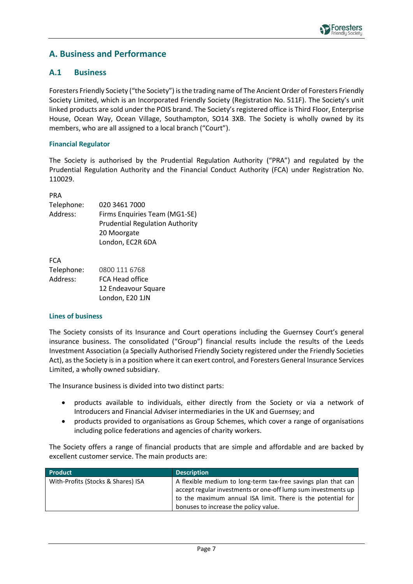### <span id="page-6-0"></span>**A. Business and Performance**

### <span id="page-6-1"></span>**A.1 Business**

Foresters Friendly Society ("the Society") is the trading name of The Ancient Order of Foresters Friendly Society Limited, which is an Incorporated Friendly Society (Registration No. 511F). The Society's unit linked products are sold under the POIS brand. The Society's registered office is Third Floor, Enterprise House, Ocean Way, Ocean Village, Southampton, SO14 3XB. The Society is wholly owned by its members, who are all assigned to a local branch ("Court").

#### **Financial Regulator**

The Society is authorised by the Prudential Regulation Authority ("PRA") and regulated by the Prudential Regulation Authority and the Financial Conduct Authority (FCA) under Registration No. 110029.

PRA

| Telephone: | 020 3461 7000                          |
|------------|----------------------------------------|
| Address:   | Firms Enquiries Team (MG1-SE)          |
|            | <b>Prudential Regulation Authority</b> |
|            | 20 Moorgate                            |
|            | London, EC2R 6DA                       |
|            |                                        |

| <b>FCA</b> |                     |
|------------|---------------------|
| Telephone: | 0800 111 6768       |
| Address:   | FCA Head office     |
|            | 12 Endeavour Square |
|            | London, E20 1JN     |

#### **Lines of business**

The Society consists of its Insurance and Court operations including the Guernsey Court's general insurance business. The consolidated ("Group") financial results include the results of the Leeds Investment Association (a Specially Authorised Friendly Society registered under the Friendly Societies Act), as the Society is in a position where it can exert control, and Foresters General Insurance Services Limited, a wholly owned subsidiary.

The Insurance business is divided into two distinct parts:

- products available to individuals, either directly from the Society or via a network of Introducers and Financial Adviser intermediaries in the UK and Guernsey; and
- products provided to organisations as Group Schemes, which cover a range of organisations including police federations and agencies of charity workers.

The Society offers a range of financial products that are simple and affordable and are backed by excellent customer service. The main products are:

| <b>Product</b>                     | <b>Description</b>                                                                                                                                                                                                                     |
|------------------------------------|----------------------------------------------------------------------------------------------------------------------------------------------------------------------------------------------------------------------------------------|
| With-Profits (Stocks & Shares) ISA | A flexible medium to long-term tax-free savings plan that can<br>accept regular investments or one-off lump sum investments up<br>to the maximum annual ISA limit. There is the potential for<br>bonuses to increase the policy value. |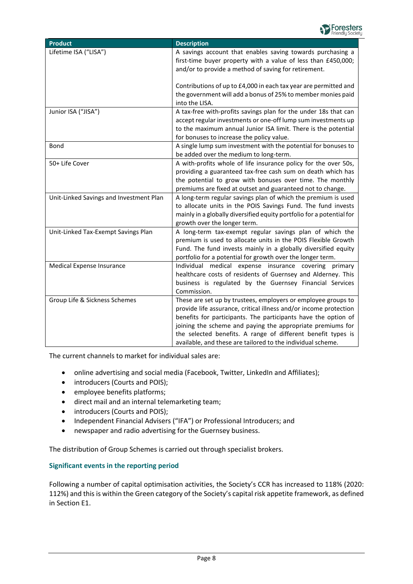

| <b>Product</b>                          | <b>Description</b>                                                                                                                                                                                                                                                                                                                                                                                |
|-----------------------------------------|---------------------------------------------------------------------------------------------------------------------------------------------------------------------------------------------------------------------------------------------------------------------------------------------------------------------------------------------------------------------------------------------------|
| Lifetime ISA ("LISA")                   | A savings account that enables saving towards purchasing a<br>first-time buyer property with a value of less than £450,000;<br>and/or to provide a method of saving for retirement.                                                                                                                                                                                                               |
|                                         | Contributions of up to £4,000 in each tax year are permitted and<br>the government will add a bonus of 25% to member monies paid<br>into the LISA.                                                                                                                                                                                                                                                |
| Junior ISA ("JISA")                     | A tax-free with-profits savings plan for the under 18s that can<br>accept regular investments or one-off lump sum investments up<br>to the maximum annual Junior ISA limit. There is the potential<br>for bonuses to increase the policy value.                                                                                                                                                   |
| Bond                                    | A single lump sum investment with the potential for bonuses to<br>be added over the medium to long-term.                                                                                                                                                                                                                                                                                          |
| 50+ Life Cover                          | A with-profits whole of life insurance policy for the over 50s,<br>providing a guaranteed tax-free cash sum on death which has<br>the potential to grow with bonuses over time. The monthly<br>premiums are fixed at outset and guaranteed not to change.                                                                                                                                         |
| Unit-Linked Savings and Investment Plan | A long-term regular savings plan of which the premium is used<br>to allocate units in the POIS Savings Fund. The fund invests<br>mainly in a globally diversified equity portfolio for a potential for<br>growth over the longer term.                                                                                                                                                            |
| Unit-Linked Tax-Exempt Savings Plan     | A long-term tax-exempt regular savings plan of which the<br>premium is used to allocate units in the POIS Flexible Growth<br>Fund. The fund invests mainly in a globally diversified equity<br>portfolio for a potential for growth over the longer term.                                                                                                                                         |
| Medical Expense Insurance               | Individual medical expense insurance covering primary<br>healthcare costs of residents of Guernsey and Alderney. This<br>business is regulated by the Guernsey Financial Services<br>Commission.                                                                                                                                                                                                  |
| Group Life & Sickness Schemes           | These are set up by trustees, employers or employee groups to<br>provide life assurance, critical illness and/or income protection<br>benefits for participants. The participants have the option of<br>joining the scheme and paying the appropriate premiums for<br>the selected benefits. A range of different benefit types is<br>available, and these are tailored to the individual scheme. |

The current channels to market for individual sales are:

- online advertising and social media (Facebook, Twitter, LinkedIn and Affiliates);
- introducers (Courts and POIS);
- employee benefits platforms;
- direct mail and an internal telemarketing team;
- introducers (Courts and POIS);
- Independent Financial Advisers ("IFA") or Professional Introducers; and
- newspaper and radio advertising for the Guernsey business.

The distribution of Group Schemes is carried out through specialist brokers.

#### **Significant events in the reporting period**

Following a number of capital optimisation activities, the Society's CCR has increased to 118% (2020: 112%) and this is within the Green category of the Society's capital risk appetite framework, as defined in Section E1.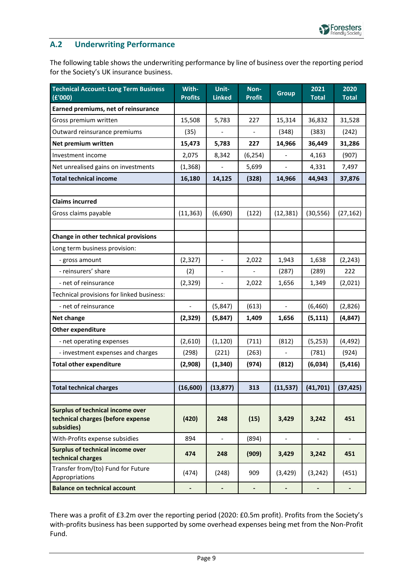

### <span id="page-8-0"></span>**A.2 Underwriting Performance**

The following table shows the underwriting performance by line of business over the reporting period for the Society's UK insurance business.

| <b>Technical Account: Long Term Business</b><br>(E'000)                                    | With-<br><b>Profits</b>  | Unit-<br><b>Linked</b>   | Non-<br><b>Profit</b>    | <b>Group</b>             | 2021<br><b>Total</b> | 2020<br><b>Total</b>     |
|--------------------------------------------------------------------------------------------|--------------------------|--------------------------|--------------------------|--------------------------|----------------------|--------------------------|
| Earned premiums, net of reinsurance                                                        |                          |                          |                          |                          |                      |                          |
| Gross premium written                                                                      | 15,508                   | 5,783                    | 227                      | 15,314                   | 36,832               | 31,528                   |
| Outward reinsurance premiums                                                               | (35)                     |                          |                          | (348)                    | (383)                | (242)                    |
| Net premium written                                                                        | 15,473                   | 5,783                    | 227                      | 14,966                   | 36,449               | 31,286                   |
| Investment income                                                                          | 2,075                    | 8,342                    | (6, 254)                 |                          | 4,163                | (907)                    |
| Net unrealised gains on investments                                                        | (1, 368)                 |                          | 5,699                    |                          | 4,331                | 7,497                    |
| <b>Total technical income</b>                                                              | 16,180                   | 14,125                   | (328)                    | 14,966                   | 44,943               | 37,876                   |
|                                                                                            |                          |                          |                          |                          |                      |                          |
| <b>Claims incurred</b>                                                                     |                          |                          |                          |                          |                      |                          |
| Gross claims payable                                                                       | (11, 363)                | (6,690)                  | (122)                    | (12, 381)                | (30, 556)            | (27, 162)                |
|                                                                                            |                          |                          |                          |                          |                      |                          |
| Change in other technical provisions                                                       |                          |                          |                          |                          |                      |                          |
| Long term business provision:                                                              |                          |                          |                          |                          |                      |                          |
| - gross amount                                                                             | (2, 327)                 | $\equiv$                 | 2,022                    | 1,943                    | 1,638                | (2, 243)                 |
| - reinsurers' share                                                                        | (2)                      | $\overline{\phantom{a}}$ |                          | (287)                    | (289)                | 222                      |
| - net of reinsurance                                                                       | (2,329)                  | $\overline{\phantom{a}}$ | 2,022                    | 1,656                    | 1,349                | (2,021)                  |
| Technical provisions for linked business:                                                  |                          |                          |                          |                          |                      |                          |
| - net of reinsurance                                                                       | $\overline{\phantom{0}}$ | (5, 847)                 | (613)                    | $\frac{1}{2}$            | (6,460)              | (2,826)                  |
| Net change                                                                                 | (2, 329)                 | (5, 847)                 | 1,409                    | 1,656                    | (5, 111)             | (4, 847)                 |
| <b>Other expenditure</b>                                                                   |                          |                          |                          |                          |                      |                          |
| - net operating expenses                                                                   | (2,610)                  | (1, 120)                 | (711)                    | (812)                    | (5,253)              | (4, 492)                 |
| - investment expenses and charges                                                          | (298)                    | (221)                    | (263)                    |                          | (781)                | (924)                    |
| <b>Total other expenditure</b>                                                             | (2,908)                  | (1, 340)                 | (974)                    | (812)                    | (6,034)              | (5, 416)                 |
|                                                                                            |                          |                          |                          |                          |                      |                          |
| <b>Total technical charges</b>                                                             | (16, 600)                | (13, 877)                | 313                      | (11, 537)                | (41, 701)            | (37, 425)                |
|                                                                                            |                          |                          |                          |                          |                      |                          |
| <b>Surplus of technical income over</b><br>technical charges (before expense<br>subsidies) | (420)                    | 248                      | (15)                     | 3,429                    | 3,242                | 451                      |
| With-Profits expense subsidies                                                             | 894                      | $\blacksquare$           | (894)                    | $\overline{\phantom{a}}$ | $\frac{1}{2}$        | $\overline{\phantom{a}}$ |
| Surplus of technical income over<br>technical charges                                      | 474                      | 248                      | (909)                    | 3,429                    | 3,242                | 451                      |
| Transfer from/(to) Fund for Future<br>Appropriations                                       | (474)                    | (248)                    | 909                      | (3,429)                  | (3, 242)             | (451)                    |
| <b>Balance on technical account</b>                                                        | -                        | $\overline{\phantom{a}}$ | $\overline{\phantom{0}}$ | $\overline{\phantom{a}}$ | $\blacksquare$       | $\overline{\phantom{a}}$ |

There was a profit of £3.2m over the reporting period (2020: £0.5m profit). Profits from the Society's with-profits business has been supported by some overhead expenses being met from the Non-Profit Fund.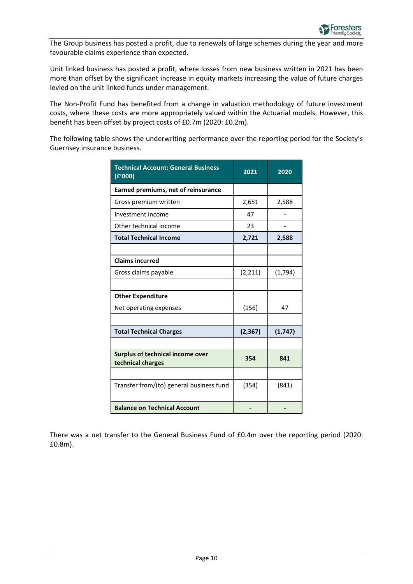

The Group business has posted a profit, due to renewals of large schemes during the year and more favourable claims experience than expected.

Unit linked business has posted a profit, where losses from new business written in 2021 has been more than offset by the significant increase in equity markets increasing the value of future charges levied on the unit linked funds under management.

The Non-Profit Fund has benefited from a change in valuation methodology of future investment costs, where these costs are more appropriately valued within the Actuarial models. However, this benefit has been offset by project costs of £0.7m (2020: £0.2m).

The following table shows the underwriting performance over the reporting period for the Society's Guernsey insurance business.

| <b>Technical Account: General Business</b><br>(E'000)        | 2021     | 2020     |
|--------------------------------------------------------------|----------|----------|
| Earned premiums, net of reinsurance                          |          |          |
| Gross premium written                                        | 2,651    | 2,588    |
| Investment income                                            | 47       |          |
| Other technical income                                       | 23       |          |
| <b>Total Technical Income</b>                                | 2,721    | 2,588    |
|                                                              |          |          |
| <b>Claims incurred</b>                                       |          |          |
| Gross claims payable                                         | (2, 211) | (1,794)  |
|                                                              |          |          |
| <b>Other Expenditure</b>                                     |          |          |
| Net operating expenses                                       | (156)    | 47       |
|                                                              |          |          |
| <b>Total Technical Charges</b>                               | (2, 367) | (1, 747) |
|                                                              |          |          |
| <b>Surplus of technical income over</b><br>technical charges | 354      | 841      |
|                                                              |          |          |
| Transfer from/(to) general business fund                     | (354)    | (841)    |
|                                                              |          |          |
| <b>Balance on Technical Account</b>                          |          |          |

There was a net transfer to the General Business Fund of £0.4m over the reporting period (2020: £0.8m).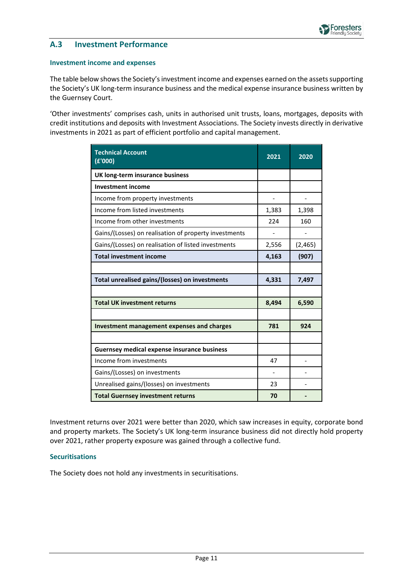

### <span id="page-10-0"></span>**A.3 Investment Performance**

#### **Investment income and expenses**

The table below shows the Society's investment income and expenses earned on the assets supporting the Society's UK long-term insurance business and the medical expense insurance business written by the Guernsey Court.

'Other investments' comprises cash, units in authorised unit trusts, loans, mortgages, deposits with credit institutions and deposits with Investment Associations. The Society invests directly in derivative investments in 2021 as part of efficient portfolio and capital management.

| <b>Technical Account</b><br>(E'000)                   | 2021  | 2020    |
|-------------------------------------------------------|-------|---------|
| UK long-term insurance business                       |       |         |
| <b>Investment income</b>                              |       |         |
| Income from property investments                      |       |         |
| Income from listed investments                        | 1,383 | 1,398   |
| Income from other investments                         | 224   | 160     |
| Gains/(Losses) on realisation of property investments |       |         |
| Gains/(Losses) on realisation of listed investments   | 2,556 | (2,465) |
| <b>Total investment income</b>                        | 4,163 | (907)   |
|                                                       |       |         |
| Total unrealised gains/(losses) on investments        | 4,331 | 7,497   |
|                                                       |       |         |
| <b>Total UK investment returns</b>                    | 8,494 | 6,590   |
|                                                       |       |         |
| Investment management expenses and charges            | 781   | 924     |
|                                                       |       |         |
| <b>Guernsey medical expense insurance business</b>    |       |         |
| Income from investments                               | 47    |         |
| Gains/(Losses) on investments                         |       |         |
| Unrealised gains/(losses) on investments              | 23    |         |
| <b>Total Guernsey investment returns</b>              | 70    |         |

Investment returns over 2021 were better than 2020, which saw increases in equity, corporate bond and property markets. The Society's UK long-term insurance business did not directly hold property over 2021, rather property exposure was gained through a collective fund.

#### **Securitisations**

The Society does not hold any investments in securitisations.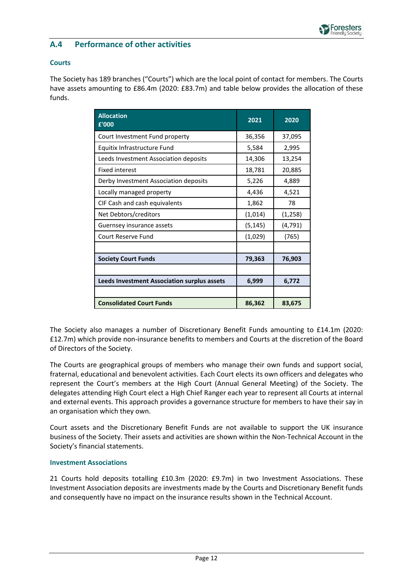

### <span id="page-11-0"></span>**A.4 Performance of other activities**

#### **Courts**

The Society has 189 branches ("Courts") which are the local point of contact for members. The Courts have assets amounting to £86.4m (2020: £83.7m) and table below provides the allocation of these funds.

| <b>Allocation</b><br>£'000                         | 2021     | 2020     |  |
|----------------------------------------------------|----------|----------|--|
| Court Investment Fund property                     | 36,356   | 37,095   |  |
| Equitix Infrastructure Fund                        | 5,584    | 2,995    |  |
| Leeds Investment Association deposits              | 14,306   | 13,254   |  |
| <b>Fixed interest</b>                              | 18,781   | 20,885   |  |
| Derby Investment Association deposits              | 5,226    | 4,889    |  |
| Locally managed property                           | 4,436    | 4,521    |  |
| CIF Cash and cash equivalents                      | 1,862    | 78       |  |
| Net Debtors/creditors                              | (1,014)  | (1, 258) |  |
| Guernsey insurance assets                          | (5, 145) | (4, 791) |  |
| Court Reserve Fund                                 | (1,029)  | (765)    |  |
|                                                    |          |          |  |
| <b>Society Court Funds</b>                         | 79,363   | 76,903   |  |
|                                                    |          |          |  |
| <b>Leeds Investment Association surplus assets</b> | 6,999    | 6,772    |  |
|                                                    |          |          |  |
| <b>Consolidated Court Funds</b>                    | 86,362   | 83,675   |  |

The Society also manages a number of Discretionary Benefit Funds amounting to £14.1m (2020: £12.7m) which provide non-insurance benefits to members and Courts at the discretion of the Board of Directors of the Society.

The Courts are geographical groups of members who manage their own funds and support social, fraternal, educational and benevolent activities. Each Court elects its own officers and delegates who represent the Court's members at the High Court (Annual General Meeting) of the Society. The delegates attending High Court elect a High Chief Ranger each year to represent all Courts at internal and external events. This approach provides a governance structure for members to have their say in an organisation which they own.

Court assets and the Discretionary Benefit Funds are not available to support the UK insurance business of the Society. Their assets and activities are shown within the Non-Technical Account in the Society's financial statements.

#### **Investment Associations**

21 Courts hold deposits totalling £10.3m (2020: £9.7m) in two Investment Associations. These Investment Association deposits are investments made by the Courts and Discretionary Benefit funds and consequently have no impact on the insurance results shown in the Technical Account.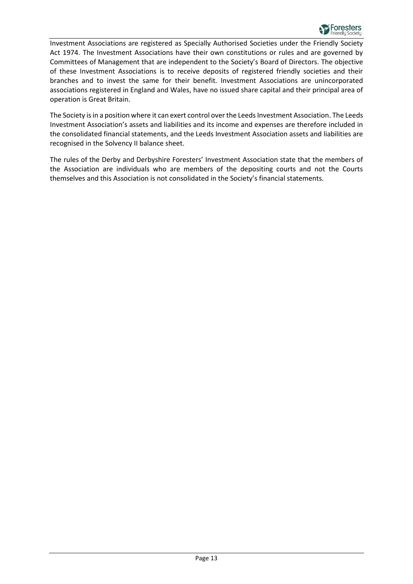

Investment Associations are registered as Specially Authorised Societies under the Friendly Society Act 1974. The Investment Associations have their own constitutions or rules and are governed by Committees of Management that are independent to the Society's Board of Directors. The objective of these Investment Associations is to receive deposits of registered friendly societies and their branches and to invest the same for their benefit. Investment Associations are unincorporated associations registered in England and Wales, have no issued share capital and their principal area of operation is Great Britain.

The Society is in a position where it can exert control over the Leeds Investment Association. The Leeds Investment Association's assets and liabilities and its income and expenses are therefore included in the consolidated financial statements, and the Leeds Investment Association assets and liabilities are recognised in the Solvency II balance sheet.

The rules of the Derby and Derbyshire Foresters' Investment Association state that the members of the Association are individuals who are members of the depositing courts and not the Courts themselves and this Association is not consolidated in the Society's financial statements.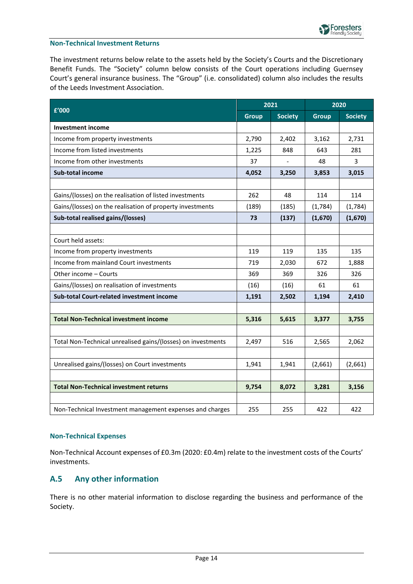#### **Non-Technical Investment Returns**

The investment returns below relate to the assets held by the Society's Courts and the Discretionary Benefit Funds. The "Society" column below consists of the Court operations including Guernsey Court's general insurance business. The "Group" (i.e. consolidated) column also includes the results of the Leeds Investment Association.

| f'000                                                        |              | 2021           |              | 2020           |  |
|--------------------------------------------------------------|--------------|----------------|--------------|----------------|--|
|                                                              | <b>Group</b> | <b>Society</b> | <b>Group</b> | <b>Society</b> |  |
| <b>Investment income</b>                                     |              |                |              |                |  |
| Income from property investments                             | 2,790        | 2,402          | 3,162        | 2,731          |  |
| Income from listed investments                               |              | 848            | 643          | 281            |  |
| Income from other investments                                | 37           |                | 48           | 3              |  |
| Sub-total income                                             | 4,052        | 3,250          | 3,853        | 3,015          |  |
|                                                              |              |                |              |                |  |
| Gains/(losses) on the realisation of listed investments      | 262          | 48             | 114          | 114            |  |
| Gains/(losses) on the realisation of property investments    | (189)        | (185)          | (1,784)      | (1,784)        |  |
| Sub-total realised gains/(losses)                            | 73           | (137)          | (1,670)      | (1,670)        |  |
|                                                              |              |                |              |                |  |
| Court held assets:                                           |              |                |              |                |  |
| Income from property investments                             | 119          | 119            | 135          | 135            |  |
| Income from mainland Court investments                       | 719          | 2,030          | 672          | 1,888          |  |
| Other income - Courts                                        | 369          | 369            | 326          | 326            |  |
| Gains/(losses) on realisation of investments                 | (16)         | (16)           | 61           | 61             |  |
| Sub-total Court-related investment income                    | 1,191        | 2,502          | 1,194        | 2,410          |  |
|                                                              |              |                |              |                |  |
| <b>Total Non-Technical investment income</b>                 | 5,316        | 5,615          | 3,377        | 3,755          |  |
|                                                              |              |                |              |                |  |
| Total Non-Technical unrealised gains/(losses) on investments | 2,497        | 516            | 2,565        | 2,062          |  |
|                                                              |              |                |              |                |  |
| Unrealised gains/(losses) on Court investments               | 1,941        | 1,941          | (2,661)      | (2,661)        |  |
|                                                              |              |                |              |                |  |
| <b>Total Non-Technical investment returns</b>                | 9,754        | 8,072          | 3,281        | 3,156          |  |
|                                                              |              |                |              |                |  |
| Non-Technical Investment management expenses and charges     | 255          | 255            | 422          | 422            |  |

#### **Non-Technical Expenses**

Non-Technical Account expenses of £0.3m (2020: £0.4m) relate to the investment costs of the Courts' investments.

### <span id="page-13-0"></span>**A.5 Any other information**

There is no other material information to disclose regarding the business and performance of the Society.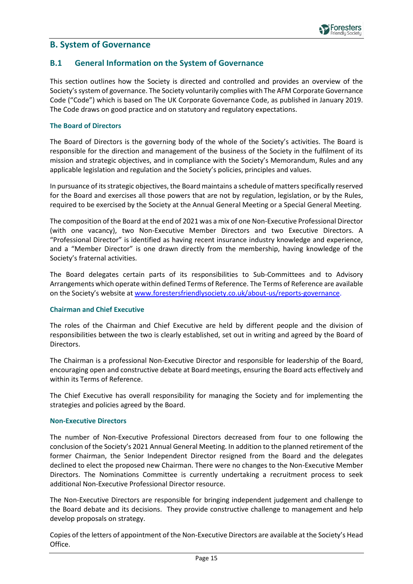

### <span id="page-14-0"></span>**B. System of Governance**

### <span id="page-14-1"></span>**B.1 General Information on the System of Governance**

This section outlines how the Society is directed and controlled and provides an overview of the Society's system of governance. The Society voluntarily complies with The AFM Corporate Governance Code ("Code") which is based on The UK Corporate Governance Code, as published in January 2019. The Code draws on good practice and on statutory and regulatory expectations.

#### **The Board of Directors**

The Board of Directors is the governing body of the whole of the Society's activities. The Board is responsible for the direction and management of the business of the Society in the fulfilment of its mission and strategic objectives, and in compliance with the Society's Memorandum, Rules and any applicable legislation and regulation and the Society's policies, principles and values.

In pursuance of its strategic objectives, the Board maintains a schedule of matters specifically reserved for the Board and exercises all those powers that are not by regulation, legislation, or by the Rules, required to be exercised by the Society at the Annual General Meeting or a Special General Meeting.

The composition of the Board at the end of 2021 was a mix of one Non-Executive Professional Director (with one vacancy), two Non-Executive Member Directors and two Executive Directors. A "Professional Director" is identified as having recent insurance industry knowledge and experience, and a "Member Director" is one drawn directly from the membership, having knowledge of the Society's fraternal activities.

The Board delegates certain parts of its responsibilities to Sub-Committees and to Advisory Arrangements which operate within defined Terms of Reference. The Terms of Reference are available on the Society's website at [www.forestersfriendlysociety.co.uk/about-us/reports-governance.](https://www.forestersfriendlysociety.co.uk/about-us/reports-governance)

#### **Chairman and Chief Executive**

The roles of the Chairman and Chief Executive are held by different people and the division of responsibilities between the two is clearly established, set out in writing and agreed by the Board of Directors.

The Chairman is a professional Non-Executive Director and responsible for leadership of the Board, encouraging open and constructive debate at Board meetings, ensuring the Board acts effectively and within its Terms of Reference.

The Chief Executive has overall responsibility for managing the Society and for implementing the strategies and policies agreed by the Board.

#### **Non-Executive Directors**

The number of Non-Executive Professional Directors decreased from four to one following the conclusion of the Society's 2021 Annual General Meeting. In addition to the planned retirement of the former Chairman, the Senior Independent Director resigned from the Board and the delegates declined to elect the proposed new Chairman. There were no changes to the Non-Executive Member Directors. The Nominations Committee is currently undertaking a recruitment process to seek additional Non-Executive Professional Director resource.

The Non-Executive Directors are responsible for bringing independent judgement and challenge to the Board debate and its decisions. They provide constructive challenge to management and help develop proposals on strategy.

Copies of the letters of appointment of the Non-Executive Directors are available at the Society's Head Office.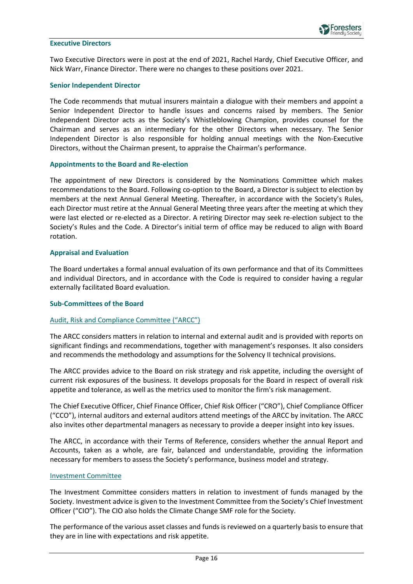

#### **Executive Directors**

Two Executive Directors were in post at the end of 2021, Rachel Hardy, Chief Executive Officer, and Nick Warr, Finance Director. There were no changes to these positions over 2021.

#### **Senior Independent Director**

The Code recommends that mutual insurers maintain a dialogue with their members and appoint a Senior Independent Director to handle issues and concerns raised by members. The Senior Independent Director acts as the Society's Whistleblowing Champion, provides counsel for the Chairman and serves as an intermediary for the other Directors when necessary. The Senior Independent Director is also responsible for holding annual meetings with the Non-Executive Directors, without the Chairman present, to appraise the Chairman's performance.

#### **Appointments to the Board and Re-election**

The appointment of new Directors is considered by the Nominations Committee which makes recommendations to the Board. Following co-option to the Board, a Director is subject to election by members at the next Annual General Meeting. Thereafter, in accordance with the Society's Rules, each Director must retire at the Annual General Meeting three years after the meeting at which they were last elected or re-elected as a Director. A retiring Director may seek re-election subject to the Society's Rules and the Code. A Director's initial term of office may be reduced to align with Board rotation.

#### **Appraisal and Evaluation**

The Board undertakes a formal annual evaluation of its own performance and that of its Committees and individual Directors, and in accordance with the Code is required to consider having a regular externally facilitated Board evaluation.

#### **Sub-Committees of the Board**

#### Audit, Risk and Compliance Committee ("ARCC")

The ARCC considers matters in relation to internal and external audit and is provided with reports on significant findings and recommendations, together with management's responses. It also considers and recommends the methodology and assumptions for the Solvency II technical provisions.

The ARCC provides advice to the Board on risk strategy and risk appetite, including the oversight of current risk exposures of the business. It develops proposals for the Board in respect of overall risk appetite and tolerance, as well as the metrics used to monitor the firm's risk management.

The Chief Executive Officer, Chief Finance Officer, Chief Risk Officer ("CRO"), Chief Compliance Officer ("CCO"), internal auditors and external auditors attend meetings of the ARCC by invitation. The ARCC also invites other departmental managers as necessary to provide a deeper insight into key issues.

The ARCC, in accordance with their Terms of Reference, considers whether the annual Report and Accounts, taken as a whole, are fair, balanced and understandable, providing the information necessary for members to assess the Society's performance, business model and strategy.

#### Investment Committee

The Investment Committee considers matters in relation to investment of funds managed by the Society. Investment advice is given to the Investment Committee from the Society's Chief Investment Officer ("CIO"). The CIO also holds the Climate Change SMF role for the Society.

The performance of the various asset classes and funds is reviewed on a quarterly basis to ensure that they are in line with expectations and risk appetite.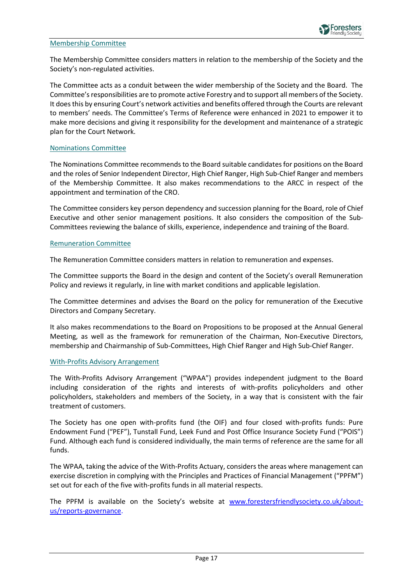#### Membership Committee

The Membership Committee considers matters in relation to the membership of the Society and the Society's non-regulated activities.

The Committee acts as a conduit between the wider membership of the Society and the Board. The Committee's responsibilities are to promote active Forestry and to support all members of the Society. It does this by ensuring Court's network activities and benefits offered through the Courts are relevant to members' needs. The Committee's Terms of Reference were enhanced in 2021 to empower it to make more decisions and giving it responsibility for the development and maintenance of a strategic plan for the Court Network.

#### Nominations Committee

The Nominations Committee recommends to the Board suitable candidates for positions on the Board and the roles of Senior Independent Director, High Chief Ranger, High Sub-Chief Ranger and members of the Membership Committee. It also makes recommendations to the ARCC in respect of the appointment and termination of the CRO.

The Committee considers key person dependency and succession planning for the Board, role of Chief Executive and other senior management positions. It also considers the composition of the Sub-Committees reviewing the balance of skills, experience, independence and training of the Board.

#### Remuneration Committee

The Remuneration Committee considers matters in relation to remuneration and expenses.

The Committee supports the Board in the design and content of the Society's overall Remuneration Policy and reviews it regularly, in line with market conditions and applicable legislation.

The Committee determines and advises the Board on the policy for remuneration of the Executive Directors and Company Secretary.

It also makes recommendations to the Board on Propositions to be proposed at the Annual General Meeting, as well as the framework for remuneration of the Chairman, Non-Executive Directors, membership and Chairmanship of Sub-Committees, High Chief Ranger and High Sub-Chief Ranger.

#### With-Profits Advisory Arrangement

The With-Profits Advisory Arrangement ("WPAA") provides independent judgment to the Board including consideration of the rights and interests of with-profits policyholders and other policyholders, stakeholders and members of the Society, in a way that is consistent with the fair treatment of customers.

The Society has one open with-profits fund (the OIF) and four closed with-profits funds: Pure Endowment Fund ("PEF"), Tunstall Fund, Leek Fund and Post Office Insurance Society Fund ("POIS") Fund. Although each fund is considered individually, the main terms of reference are the same for all funds.

The WPAA, taking the advice of the With-Profits Actuary, considers the areas where management can exercise discretion in complying with the Principles and Practices of Financial Management ("PPFM") set out for each of the five with-profits funds in all material respects.

The PPFM is available on the Society's website at [www.forestersfriendlysociety.co.uk/about](https://www.forestersfriendlysociety.co.uk/about-us/reports-governance)[us/reports-governance.](https://www.forestersfriendlysociety.co.uk/about-us/reports-governance)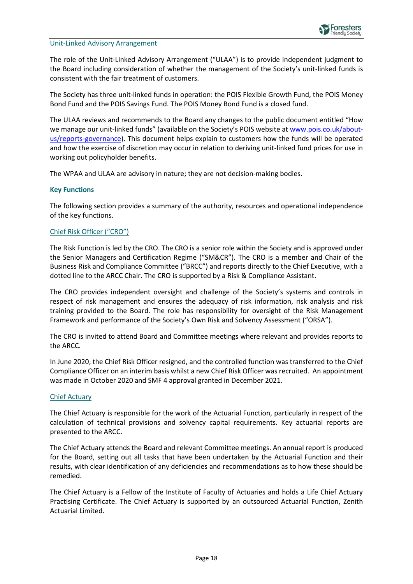#### Unit-Linked Advisory Arrangement

The role of the Unit-Linked Advisory Arrangement ("ULAA") is to provide independent judgment to the Board including consideration of whether the management of the Society's unit-linked funds is consistent with the fair treatment of customers.

The Society has three unit-linked funds in operation: the POIS Flexible Growth Fund, the POIS Money Bond Fund and the POIS Savings Fund. The POIS Money Bond Fund is a closed fund.

The ULAA reviews and recommends to the Board any changes to the public document entitled "How we manage our unit-linked funds" (available on the Society's POIS website at [www.pois.co.uk/about](https://www.pois.co.uk/about-us/reports-governance/)[us/reports-governance\)](https://www.pois.co.uk/about-us/reports-governance/). This document helps explain to customers how the funds will be operated and how the exercise of discretion may occur in relation to deriving unit-linked fund prices for use in working out policyholder benefits.

The WPAA and ULAA are advisory in nature; they are not decision-making bodies.

#### **Key Functions**

The following section provides a summary of the authority, resources and operational independence of the key functions.

#### Chief Risk Officer ("CRO")

The Risk Function is led by the CRO. The CRO is a senior role within the Society and is approved under the Senior Managers and Certification Regime ("SM&CR"). The CRO is a member and Chair of the Business Risk and Compliance Committee ("BRCC") and reports directly to the Chief Executive, with a dotted line to the ARCC Chair. The CRO is supported by a Risk & Compliance Assistant.

The CRO provides independent oversight and challenge of the Society's systems and controls in respect of risk management and ensures the adequacy of risk information, risk analysis and risk training provided to the Board. The role has responsibility for oversight of the Risk Management Framework and performance of the Society's Own Risk and Solvency Assessment ("ORSA").

The CRO is invited to attend Board and Committee meetings where relevant and provides reports to the ARCC.

In June 2020, the Chief Risk Officer resigned, and the controlled function was transferred to the Chief Compliance Officer on an interim basis whilst a new Chief Risk Officer was recruited. An appointment was made in October 2020 and SMF 4 approval granted in December 2021.

#### Chief Actuary

The Chief Actuary is responsible for the work of the Actuarial Function, particularly in respect of the calculation of technical provisions and solvency capital requirements. Key actuarial reports are presented to the ARCC.

The Chief Actuary attends the Board and relevant Committee meetings. An annual report is produced for the Board, setting out all tasks that have been undertaken by the Actuarial Function and their results, with clear identification of any deficiencies and recommendations as to how these should be remedied.

The Chief Actuary is a Fellow of the Institute of Faculty of Actuaries and holds a Life Chief Actuary Practising Certificate. The Chief Actuary is supported by an outsourced Actuarial Function, Zenith Actuarial Limited.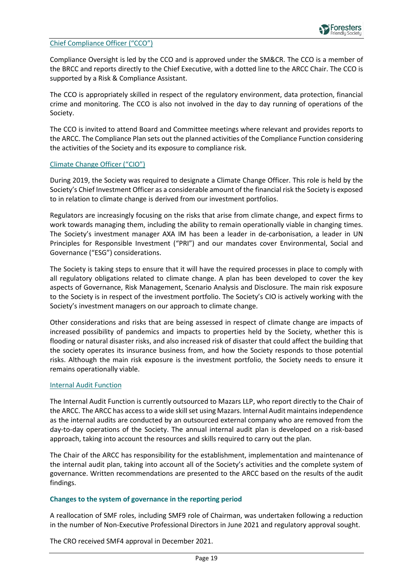

#### Chief Compliance Officer ("CCO")

Compliance Oversight is led by the CCO and is approved under the SM&CR. The CCO is a member of the BRCC and reports directly to the Chief Executive, with a dotted line to the ARCC Chair. The CCO is supported by a Risk & Compliance Assistant.

The CCO is appropriately skilled in respect of the regulatory environment, data protection, financial crime and monitoring. The CCO is also not involved in the day to day running of operations of the Society.

The CCO is invited to attend Board and Committee meetings where relevant and provides reports to the ARCC. The Compliance Plan sets out the planned activities of the Compliance Function considering the activities of the Society and its exposure to compliance risk.

#### Climate Change Officer ("CIO")

During 2019, the Society was required to designate a Climate Change Officer. This role is held by the Society's Chief Investment Officer as a considerable amount of the financial risk the Society is exposed to in relation to climate change is derived from our investment portfolios.

Regulators are increasingly focusing on the risks that arise from climate change, and expect firms to work towards managing them, including the ability to remain operationally viable in changing times. The Society's investment manager AXA IM has been a leader in de-carbonisation, a leader in UN Principles for Responsible Investment ("PRI") and our mandates cover Environmental, Social and Governance ("ESG") considerations.

The Society is taking steps to ensure that it will have the required processes in place to comply with all regulatory obligations related to climate change. A plan has been developed to cover the key aspects of Governance, Risk Management, Scenario Analysis and Disclosure. The main risk exposure to the Society is in respect of the investment portfolio. The Society's CIO is actively working with the Society's investment managers on our approach to climate change.

Other considerations and risks that are being assessed in respect of climate change are impacts of increased possibility of pandemics and impacts to properties held by the Society, whether this is flooding or natural disaster risks, and also increased risk of disaster that could affect the building that the society operates its insurance business from, and how the Society responds to those potential risks. Although the main risk exposure is the investment portfolio, the Society needs to ensure it remains operationally viable.

#### Internal Audit Function

The Internal Audit Function is currently outsourced to Mazars LLP, who report directly to the Chair of the ARCC. The ARCC has access to a wide skill set using Mazars. Internal Audit maintains independence as the internal audits are conducted by an outsourced external company who are removed from the day-to-day operations of the Society. The annual internal audit plan is developed on a risk-based approach, taking into account the resources and skills required to carry out the plan.

The Chair of the ARCC has responsibility for the establishment, implementation and maintenance of the internal audit plan, taking into account all of the Society's activities and the complete system of governance. Written recommendations are presented to the ARCC based on the results of the audit findings.

#### **Changes to the system of governance in the reporting period**

A reallocation of SMF roles, including SMF9 role of Chairman, was undertaken following a reduction in the number of Non-Executive Professional Directors in June 2021 and regulatory approval sought.

The CRO received SMF4 approval in December 2021.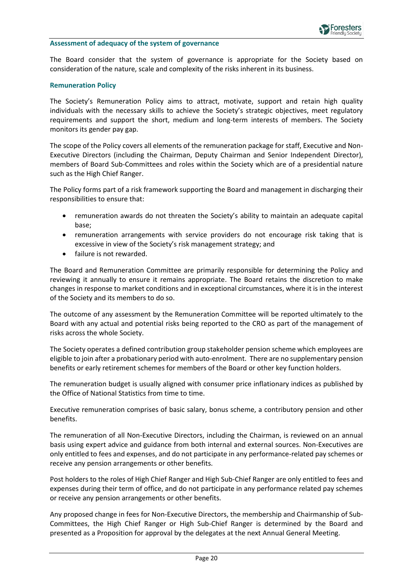#### **Assessment of adequacy of the system of governance**

The Board consider that the system of governance is appropriate for the Society based on consideration of the nature, scale and complexity of the risks inherent in its business.

#### **Remuneration Policy**

The Society's Remuneration Policy aims to attract, motivate, support and retain high quality individuals with the necessary skills to achieve the Society's strategic objectives, meet regulatory requirements and support the short, medium and long-term interests of members. The Society monitors its gender pay gap.

The scope of the Policy covers all elements of the remuneration package for staff, Executive and Non-Executive Directors (including the Chairman, Deputy Chairman and Senior Independent Director), members of Board Sub-Committees and roles within the Society which are of a presidential nature such as the High Chief Ranger.

The Policy forms part of a risk framework supporting the Board and management in discharging their responsibilities to ensure that:

- remuneration awards do not threaten the Society's ability to maintain an adequate capital base;
- remuneration arrangements with service providers do not encourage risk taking that is excessive in view of the Society's risk management strategy; and
- failure is not rewarded.

The Board and Remuneration Committee are primarily responsible for determining the Policy and reviewing it annually to ensure it remains appropriate. The Board retains the discretion to make changes in response to market conditions and in exceptional circumstances, where it is in the interest of the Society and its members to do so.

The outcome of any assessment by the Remuneration Committee will be reported ultimately to the Board with any actual and potential risks being reported to the CRO as part of the management of risks across the whole Society.

The Society operates a defined contribution group stakeholder pension scheme which employees are eligible to join after a probationary period with auto-enrolment. There are no supplementary pension benefits or early retirement schemes for members of the Board or other key function holders.

The remuneration budget is usually aligned with consumer price inflationary indices as published by the Office of National Statistics from time to time.

Executive remuneration comprises of basic salary, bonus scheme, a contributory pension and other benefits.

The remuneration of all Non-Executive Directors, including the Chairman, is reviewed on an annual basis using expert advice and guidance from both internal and external sources. Non-Executives are only entitled to fees and expenses, and do not participate in any performance-related pay schemes or receive any pension arrangements or other benefits.

Post holders to the roles of High Chief Ranger and High Sub-Chief Ranger are only entitled to fees and expenses during their term of office, and do not participate in any performance related pay schemes or receive any pension arrangements or other benefits.

Any proposed change in fees for Non-Executive Directors, the membership and Chairmanship of Sub-Committees, the High Chief Ranger or High Sub-Chief Ranger is determined by the Board and presented as a Proposition for approval by the delegates at the next Annual General Meeting.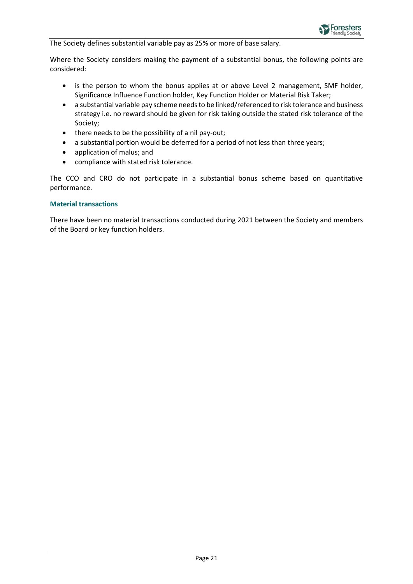

The Society defines substantial variable pay as 25% or more of base salary.

Where the Society considers making the payment of a substantial bonus, the following points are considered:

- is the person to whom the bonus applies at or above Level 2 management, SMF holder, Significance Influence Function holder, Key Function Holder or Material Risk Taker;
- a substantial variable pay scheme needs to be linked/referenced to risk tolerance and business strategy i.e. no reward should be given for risk taking outside the stated risk tolerance of the Society;
- there needs to be the possibility of a nil pay-out;
- a substantial portion would be deferred for a period of not less than three years;
- application of malus; and
- compliance with stated risk tolerance.

The CCO and CRO do not participate in a substantial bonus scheme based on quantitative performance.

#### **Material transactions**

There have been no material transactions conducted during 2021 between the Society and members of the Board or key function holders.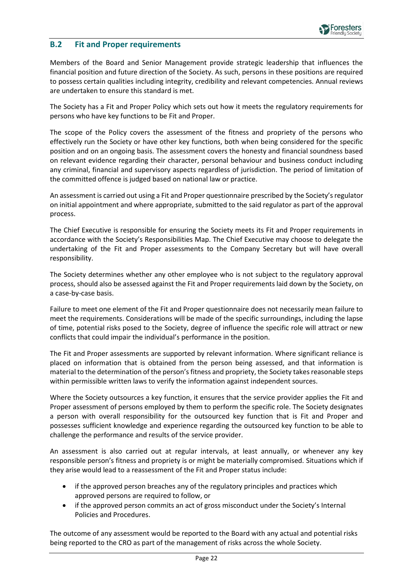

### <span id="page-21-0"></span>**B.2 Fit and Proper requirements**

Members of the Board and Senior Management provide strategic leadership that influences the financial position and future direction of the Society. As such, persons in these positions are required to possess certain qualities including integrity, credibility and relevant competencies. Annual reviews are undertaken to ensure this standard is met.

The Society has a Fit and Proper Policy which sets out how it meets the regulatory requirements for persons who have key functions to be Fit and Proper.

The scope of the Policy covers the assessment of the fitness and propriety of the persons who effectively run the Society or have other key functions, both when being considered for the specific position and on an ongoing basis. The assessment covers the honesty and financial soundness based on relevant evidence regarding their character, personal behaviour and business conduct including any criminal, financial and supervisory aspects regardless of jurisdiction. The period of limitation of the committed offence is judged based on national law or practice.

An assessment is carried out using a Fit and Proper questionnaire prescribed by the Society's regulator on initial appointment and where appropriate, submitted to the said regulator as part of the approval process.

The Chief Executive is responsible for ensuring the Society meets its Fit and Proper requirements in accordance with the Society's Responsibilities Map. The Chief Executive may choose to delegate the undertaking of the Fit and Proper assessments to the Company Secretary but will have overall responsibility.

The Society determines whether any other employee who is not subject to the regulatory approval process, should also be assessed against the Fit and Proper requirements laid down by the Society, on a case-by-case basis.

Failure to meet one element of the Fit and Proper questionnaire does not necessarily mean failure to meet the requirements. Considerations will be made of the specific surroundings, including the lapse of time, potential risks posed to the Society, degree of influence the specific role will attract or new conflicts that could impair the individual's performance in the position.

The Fit and Proper assessments are supported by relevant information. Where significant reliance is placed on information that is obtained from the person being assessed, and that information is material to the determination of the person's fitness and propriety, the Society takesreasonable steps within permissible written laws to verify the information against independent sources.

Where the Society outsources a key function, it ensures that the service provider applies the Fit and Proper assessment of persons employed by them to perform the specific role. The Society designates a person with overall responsibility for the outsourced key function that is Fit and Proper and possesses sufficient knowledge and experience regarding the outsourced key function to be able to challenge the performance and results of the service provider.

An assessment is also carried out at regular intervals, at least annually, or whenever any key responsible person's fitness and propriety is or might be materially compromised. Situations which if they arise would lead to a reassessment of the Fit and Proper status include:

- if the approved person breaches any of the regulatory principles and practices which approved persons are required to follow, or
- if the approved person commits an act of gross misconduct under the Society's Internal Policies and Procedures.

The outcome of any assessment would be reported to the Board with any actual and potential risks being reported to the CRO as part of the management of risks across the whole Society.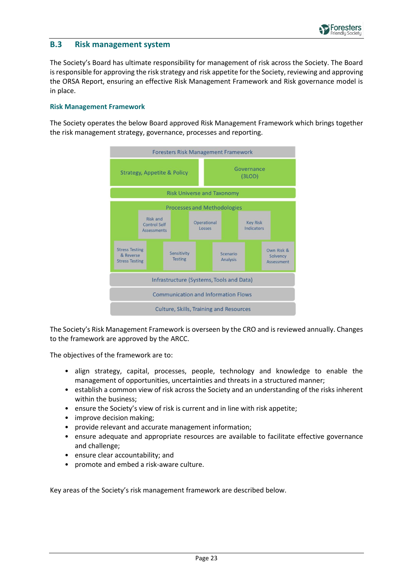

### <span id="page-22-0"></span>**B.3 Risk management system**

The Society's Board has ultimate responsibility for management of risk across the Society. The Board is responsible for approving the risk strategy and risk appetite for the Society, reviewing and approving the ORSA Report, ensuring an effective Risk Management Framework and Risk governance model is in place.

#### **Risk Management Framework**

The Society operates the below Board approved Risk Management Framework which brings together the risk management strategy, governance, processes and reporting.



The Society's Risk Management Framework is overseen by the CRO and is reviewed annually. Changes to the framework are approved by the ARCC.

The objectives of the framework are to:

- align strategy, capital, processes, people, technology and knowledge to enable the management of opportunities, uncertainties and threats in a structured manner;
- establish a common view of risk across the Society and an understanding of the risks inherent within the business;
- ensure the Society's view of risk is current and in line with risk appetite;
- improve decision making;
- provide relevant and accurate management information;
- ensure adequate and appropriate resources are available to facilitate effective governance and challenge;
- ensure clear accountability; and
- promote and embed a risk-aware culture.

Key areas of the Society's risk management framework are described below.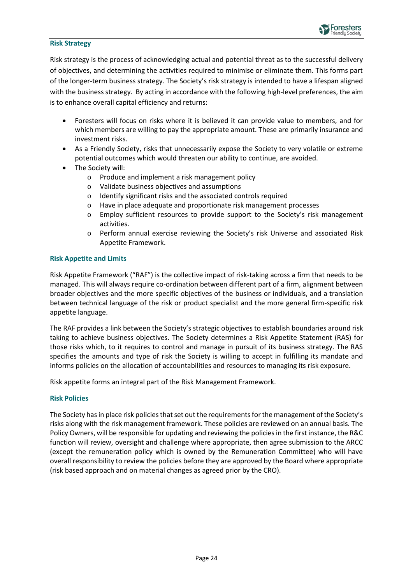#### **Risk Strategy**

Risk strategy is the process of acknowledging actual and potential threat as to the successful delivery of objectives, and determining the activities required to minimise or eliminate them. This forms part of the longer-term business strategy. The Society's risk strategy is intended to have a lifespan aligned with the business strategy. By acting in accordance with the following high-level preferences, the aim is to enhance overall capital efficiency and returns:

- Foresters will focus on risks where it is believed it can provide value to members, and for which members are willing to pay the appropriate amount. These are primarily insurance and investment risks.
- As a Friendly Society, risks that unnecessarily expose the Society to very volatile or extreme potential outcomes which would threaten our ability to continue, are avoided.
- The Society will:
	- o Produce and implement a risk management policy
	- o Validate business objectives and assumptions
	- o Identify significant risks and the associated controls required
	- o Have in place adequate and proportionate risk management processes
	- o Employ sufficient resources to provide support to the Society's risk management activities.
	- o Perform annual exercise reviewing the Society's risk Universe and associated Risk Appetite Framework.

#### **Risk Appetite and Limits**

Risk Appetite Framework ("RAF") is the collective impact of risk-taking across a firm that needs to be managed. This will always require co-ordination between different part of a firm, alignment between broader objectives and the more specific objectives of the business or individuals, and a translation between technical language of the risk or product specialist and the more general firm-specific risk appetite language.

The RAF provides a link between the Society's strategic objectives to establish boundaries around risk taking to achieve business objectives. The Society determines a Risk Appetite Statement (RAS) for those risks which, to it requires to control and manage in pursuit of its business strategy. The RAS specifies the amounts and type of risk the Society is willing to accept in fulfilling its mandate and informs policies on the allocation of accountabilities and resources to managing its risk exposure.

Risk appetite forms an integral part of the Risk Management Framework.

#### **Risk Policies**

The Society has in place risk policies that set out the requirements for the management of the Society's risks along with the risk management framework. These policies are reviewed on an annual basis. The Policy Owners, will be responsible for updating and reviewing the policies in the first instance, the R&C function will review, oversight and challenge where appropriate, then agree submission to the ARCC (except the remuneration policy which is owned by the Remuneration Committee) who will have overall responsibility to review the policies before they are approved by the Board where appropriate (risk based approach and on material changes as agreed prior by the CRO).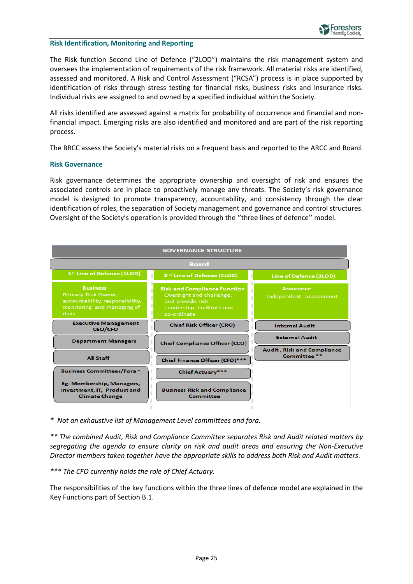#### **Risk Identification, Monitoring and Reporting**

The Risk function Second Line of Defence ("2LOD") maintains the risk management system and oversees the implementation of requirements of the risk framework. All material risks are identified, assessed and monitored. A Risk and Control Assessment ("RCSA") process is in place supported by identification of risks through stress testing for financial risks, business risks and insurance risks. Individual risks are assigned to and owned by a specified individual within the Society.

All risks identified are assessed against a matrix for probability of occurrence and financial and nonfinancial impact. Emerging risks are also identified and monitored and are part of the risk reporting process.

The BRCC assess the Society's material risks on a frequent basis and reported to the ARCC and Board.

#### **Risk Governance**

Risk governance determines the appropriate ownership and oversight of risk and ensures the associated controls are in place to proactively manage any threats. The Society's risk governance model is designed to promote transparency, accountability, and consistency through the clear identification of roles, the separation of Society management and governance and control structures. Oversight of the Society's operation is provided through the ''three lines of defence'' model.



*\* Not an exhaustive list of Management Level committees and fora.*

*\*\* The combined Audit, Risk and Compliance Committee separates Risk and Audit related matters by segregating the agenda to ensure clarity on risk and audit areas and ensuring the Non-Executive Director members taken together have the appropriate skills to address both Risk and Audit matters.*

*\*\*\* The CFO currently holds the role of Chief Actuary.*

The responsibilities of the key functions within the three lines of defence model are explained in the Key Functions part of Section B.1.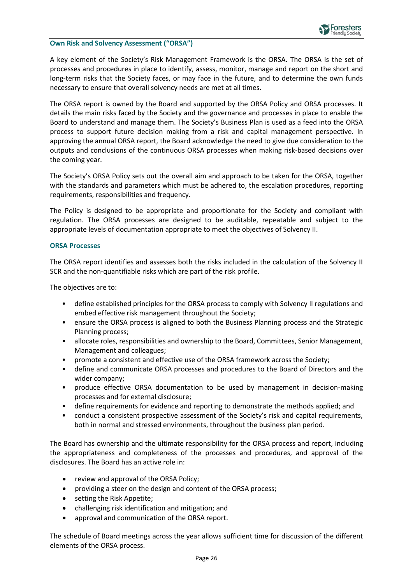#### **Own Risk and Solvency Assessment ("ORSA")**

A key element of the Society's Risk Management Framework is the ORSA. The ORSA is the set of processes and procedures in place to identify, assess, monitor, manage and report on the short and long-term risks that the Society faces, or may face in the future, and to determine the own funds necessary to ensure that overall solvency needs are met at all times.

The ORSA report is owned by the Board and supported by the ORSA Policy and ORSA processes. It details the main risks faced by the Society and the governance and processes in place to enable the Board to understand and manage them. The Society's Business Plan is used as a feed into the ORSA process to support future decision making from a risk and capital management perspective. In approving the annual ORSA report, the Board acknowledge the need to give due consideration to the outputs and conclusions of the continuous ORSA processes when making risk-based decisions over the coming year.

The Society's ORSA Policy sets out the overall aim and approach to be taken for the ORSA, together with the standards and parameters which must be adhered to, the escalation procedures, reporting requirements, responsibilities and frequency.

The Policy is designed to be appropriate and proportionate for the Society and compliant with regulation. The ORSA processes are designed to be auditable, repeatable and subject to the appropriate levels of documentation appropriate to meet the objectives of Solvency II.

#### **ORSA Processes**

The ORSA report identifies and assesses both the risks included in the calculation of the Solvency II SCR and the non-quantifiable risks which are part of the risk profile.

The objectives are to:

- define established principles for the ORSA process to comply with Solvency II regulations and embed effective risk management throughout the Society;
- ensure the ORSA process is aligned to both the Business Planning process and the Strategic Planning process;
- allocate roles, responsibilities and ownership to the Board, Committees, Senior Management, Management and colleagues;
- promote a consistent and effective use of the ORSA framework across the Society;
- define and communicate ORSA processes and procedures to the Board of Directors and the wider company;
- produce effective ORSA documentation to be used by management in decision-making processes and for external disclosure;
- define requirements for evidence and reporting to demonstrate the methods applied; and
- conduct a consistent prospective assessment of the Society's risk and capital requirements, both in normal and stressed environments, throughout the business plan period.

The Board has ownership and the ultimate responsibility for the ORSA process and report, including the appropriateness and completeness of the processes and procedures, and approval of the disclosures. The Board has an active role in:

- review and approval of the ORSA Policy;
- providing a steer on the design and content of the ORSA process;
- setting the Risk Appetite;
- challenging risk identification and mitigation; and
- approval and communication of the ORSA report.

The schedule of Board meetings across the year allows sufficient time for discussion of the different elements of the ORSA process.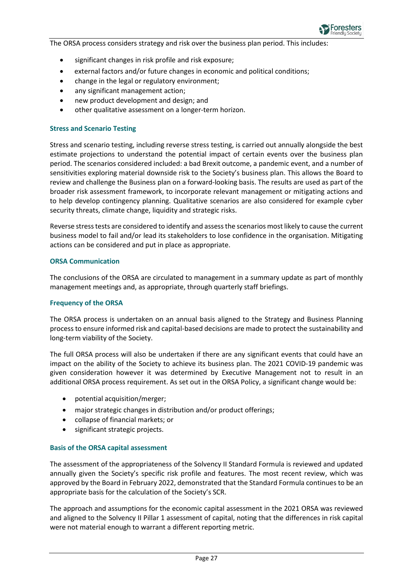

The ORSA process considers strategy and risk over the business plan period. This includes:

- significant changes in risk profile and risk exposure;
- external factors and/or future changes in economic and political conditions;
- change in the legal or regulatory environment;
- any significant management action;
- new product development and design; and
- other qualitative assessment on a longer-term horizon.

#### **Stress and Scenario Testing**

Stress and scenario testing, including reverse stress testing, is carried out annually alongside the best estimate projections to understand the potential impact of certain events over the business plan period. The scenarios considered included: a bad Brexit outcome, a pandemic event, and a number of sensitivities exploring material downside risk to the Society's business plan. This allows the Board to review and challenge the Business plan on a forward-looking basis. The results are used as part of the broader risk assessment framework, to incorporate relevant management or mitigating actions and to help develop contingency planning. Qualitative scenarios are also considered for example cyber security threats, climate change, liquidity and strategic risks.

Reverse stress tests are considered to identify and assess the scenarios most likely to cause the current business model to fail and/or lead its stakeholders to lose confidence in the organisation. Mitigating actions can be considered and put in place as appropriate.

#### **ORSA Communication**

The conclusions of the ORSA are circulated to management in a summary update as part of monthly management meetings and, as appropriate, through quarterly staff briefings.

#### **Frequency of the ORSA**

The ORSA process is undertaken on an annual basis aligned to the Strategy and Business Planning process to ensure informed risk and capital-based decisions are made to protect the sustainability and long-term viability of the Society.

The full ORSA process will also be undertaken if there are any significant events that could have an impact on the ability of the Society to achieve its business plan. The 2021 COVID-19 pandemic was given consideration however it was determined by Executive Management not to result in an additional ORSA process requirement. As set out in the ORSA Policy, a significant change would be:

- potential acquisition/merger;
- major strategic changes in distribution and/or product offerings;
- collapse of financial markets; or
- significant strategic projects.

#### **Basis of the ORSA capital assessment**

The assessment of the appropriateness of the Solvency II Standard Formula is reviewed and updated annually given the Society's specific risk profile and features. The most recent review, which was approved by the Board in February 2022, demonstrated that the Standard Formula continues to be an appropriate basis for the calculation of the Society's SCR.

The approach and assumptions for the economic capital assessment in the 2021 ORSA was reviewed and aligned to the Solvency II Pillar 1 assessment of capital, noting that the differences in risk capital were not material enough to warrant a different reporting metric.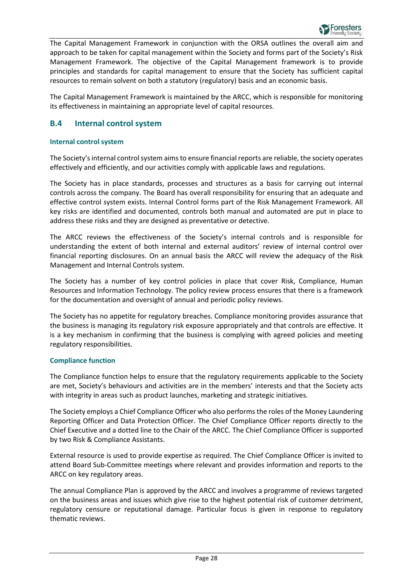

The Capital Management Framework in conjunction with the ORSA outlines the overall aim and approach to be taken for capital management within the Society and forms part of the Society's Risk Management Framework. The objective of the Capital Management framework is to provide principles and standards for capital management to ensure that the Society has sufficient capital resources to remain solvent on both a statutory (regulatory) basis and an economic basis.

The Capital Management Framework is maintained by the ARCC, which is responsible for monitoring its effectiveness in maintaining an appropriate level of capital resources.

### <span id="page-27-0"></span>**B.4 Internal control system**

#### **Internal control system**

The Society's internal control system aims to ensure financial reports are reliable, the society operates effectively and efficiently, and our activities comply with applicable laws and regulations.

The Society has in place standards, processes and structures as a basis for carrying out internal controls across the company. The Board has overall responsibility for ensuring that an adequate and effective control system exists. Internal Control forms part of the Risk Management Framework. All key risks are identified and documented, controls both manual and automated are put in place to address these risks and they are designed as preventative or detective.

The ARCC reviews the effectiveness of the Society's internal controls and is responsible for understanding the extent of both internal and external auditors' review of internal control over financial reporting disclosures. On an annual basis the ARCC will review the adequacy of the Risk Management and Internal Controls system.

The Society has a number of key control policies in place that cover Risk, Compliance, Human Resources and Information Technology. The policy review process ensures that there is a framework for the documentation and oversight of annual and periodic policy reviews.

The Society has no appetite for regulatory breaches. Compliance monitoring provides assurance that the business is managing its regulatory risk exposure appropriately and that controls are effective. It is a key mechanism in confirming that the business is complying with agreed policies and meeting regulatory responsibilities.

#### **Compliance function**

The Compliance function helps to ensure that the regulatory requirements applicable to the Society are met, Society's behaviours and activities are in the members' interests and that the Society acts with integrity in areas such as product launches, marketing and strategic initiatives.

The Society employs a Chief Compliance Officer who also performs the roles of the Money Laundering Reporting Officer and Data Protection Officer. The Chief Compliance Officer reports directly to the Chief Executive and a dotted line to the Chair of the ARCC. The Chief Compliance Officer is supported by two Risk & Compliance Assistants.

External resource is used to provide expertise as required. The Chief Compliance Officer is invited to attend Board Sub-Committee meetings where relevant and provides information and reports to the ARCC on key regulatory areas.

The annual Compliance Plan is approved by the ARCC and involves a programme of reviews targeted on the business areas and issues which give rise to the highest potential risk of customer detriment, regulatory censure or reputational damage. Particular focus is given in response to regulatory thematic reviews.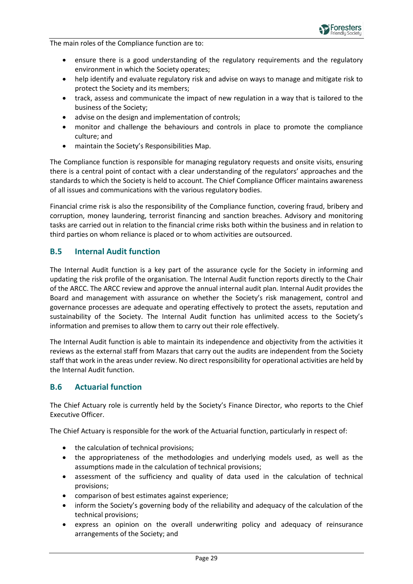

The main roles of the Compliance function are to:

- ensure there is a good understanding of the regulatory requirements and the regulatory environment in which the Society operates;
- help identify and evaluate regulatory risk and advise on ways to manage and mitigate risk to protect the Society and its members;
- track, assess and communicate the impact of new regulation in a way that is tailored to the business of the Society;
- advise on the design and implementation of controls;
- monitor and challenge the behaviours and controls in place to promote the compliance culture; and
- maintain the Society's Responsibilities Map.

The Compliance function is responsible for managing regulatory requests and onsite visits, ensuring there is a central point of contact with a clear understanding of the regulators' approaches and the standards to which the Society is held to account. The Chief Compliance Officer maintains awareness of all issues and communications with the various regulatory bodies.

Financial crime risk is also the responsibility of the Compliance function, covering fraud, bribery and corruption, money laundering, terrorist financing and sanction breaches. Advisory and monitoring tasks are carried out in relation to the financial crime risks both within the business and in relation to third parties on whom reliance is placed or to whom activities are outsourced.

### <span id="page-28-0"></span>**B.5 Internal Audit function**

The Internal Audit function is a key part of the assurance cycle for the Society in informing and updating the risk profile of the organisation. The Internal Audit function reports directly to the Chair of the ARCC. The ARCC review and approve the annual internal audit plan. Internal Audit provides the Board and management with assurance on whether the Society's risk management, control and governance processes are adequate and operating effectively to protect the assets, reputation and sustainability of the Society. The Internal Audit function has unlimited access to the Society's information and premises to allow them to carry out their role effectively.

The Internal Audit function is able to maintain its independence and objectivity from the activities it reviews as the external staff from Mazars that carry out the audits are independent from the Society staff that work in the areas under review. No direct responsibility for operational activities are held by the Internal Audit function.

### <span id="page-28-1"></span>**B.6 Actuarial function**

The Chief Actuary role is currently held by the Society's Finance Director, who reports to the Chief Executive Officer.

The Chief Actuary is responsible for the work of the Actuarial function, particularly in respect of:

- the calculation of technical provisions;
- the appropriateness of the methodologies and underlying models used, as well as the assumptions made in the calculation of technical provisions;
- assessment of the sufficiency and quality of data used in the calculation of technical provisions;
- comparison of best estimates against experience;
- inform the Society's governing body of the reliability and adequacy of the calculation of the technical provisions;
- express an opinion on the overall underwriting policy and adequacy of reinsurance arrangements of the Society; and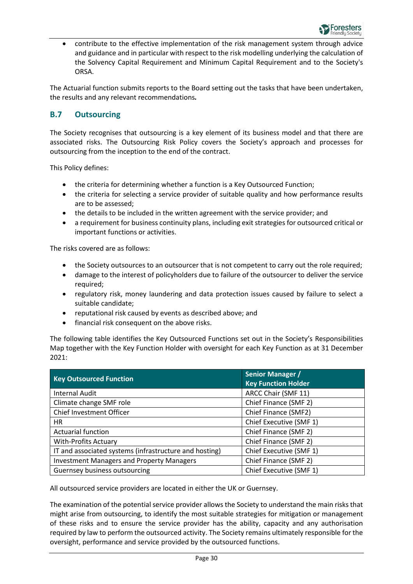

• contribute to the effective implementation of the risk management system through advice and guidance and in particular with respect to the risk modelling underlying the calculation of the Solvency Capital Requirement and Minimum Capital Requirement and to the Society's ORSA.

The Actuarial function submits reports to the Board setting out the tasks that have been undertaken, the results and any relevant recommendations*.*

### <span id="page-29-0"></span>**B.7 Outsourcing**

The Society recognises that outsourcing is a key element of its business model and that there are associated risks. The Outsourcing Risk Policy covers the Society's approach and processes for outsourcing from the inception to the end of the contract.

This Policy defines:

- the criteria for determining whether a function is a Key Outsourced Function;
- the criteria for selecting a service provider of suitable quality and how performance results are to be assessed;
- the details to be included in the written agreement with the service provider; and
- a requirement for business continuity plans, including exit strategies for outsourced critical or important functions or activities.

The risks covered are as follows:

- the Society outsources to an outsourcer that is not competent to carry out the role required;
- damage to the interest of policyholders due to failure of the outsourcer to deliver the service required;
- regulatory risk, money laundering and data protection issues caused by failure to select a suitable candidate;
- reputational risk caused by events as described above; and
- financial risk consequent on the above risks.

The following table identifies the Key Outsourced Functions set out in the Society's Responsibilities Map together with the Key Function Holder with oversight for each Key Function as at 31 December 2021:

| <b>Key Outsourced Function</b>                         | <b>Senior Manager /</b><br><b>Key Function Holder</b> |
|--------------------------------------------------------|-------------------------------------------------------|
| <b>Internal Audit</b>                                  | ARCC Chair (SMF 11)                                   |
| Climate change SMF role                                | Chief Finance (SMF 2)                                 |
| Chief Investment Officer                               | Chief Finance (SMF2)                                  |
| HR.                                                    | Chief Executive (SMF 1)                               |
| <b>Actuarial function</b>                              | Chief Finance (SMF 2)                                 |
| <b>With-Profits Actuary</b>                            | Chief Finance (SMF 2)                                 |
| IT and associated systems (infrastructure and hosting) | Chief Executive (SMF 1)                               |
| <b>Investment Managers and Property Managers</b>       | Chief Finance (SMF 2)                                 |
| <b>Guernsey business outsourcing</b>                   | Chief Executive (SMF 1)                               |

All outsourced service providers are located in either the UK or Guernsey.

The examination of the potential service provider allows the Society to understand the main risks that might arise from outsourcing, to identify the most suitable strategies for mitigation or management of these risks and to ensure the service provider has the ability, capacity and any authorisation required by law to perform the outsourced activity. The Society remains ultimately responsible for the oversight, performance and service provided by the outsourced functions.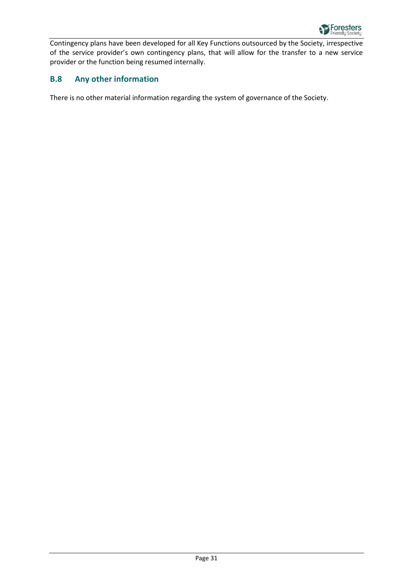

Contingency plans have been developed for all Key Functions outsourced by the Society, irrespective of the service provider's own contingency plans, that will allow for the transfer to a new service provider or the function being resumed internally.

### <span id="page-30-0"></span>**B.8 Any other information**

There is no other material information regarding the system of governance of the Society.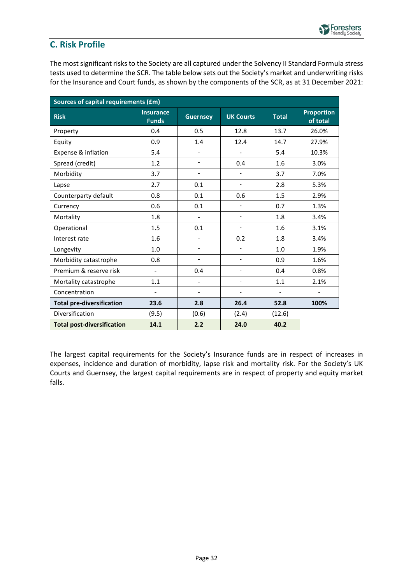

### <span id="page-31-0"></span>**C. Risk Profile**

The most significant risks to the Society are all captured under the Solvency II Standard Formula stress tests used to determine the SCR. The table below sets out the Society's market and underwriting risks for the Insurance and Court funds, as shown by the components of the SCR, as at 31 December 2021:

| Sources of capital requirements (£m) |                                  |                          |                          |                |                               |  |
|--------------------------------------|----------------------------------|--------------------------|--------------------------|----------------|-------------------------------|--|
| <b>Risk</b>                          | <b>Insurance</b><br><b>Funds</b> | <b>Guernsey</b>          | <b>UK Courts</b>         | <b>Total</b>   | <b>Proportion</b><br>of total |  |
| Property                             | 0.4                              | 0.5                      | 12.8                     | 13.7           | 26.0%                         |  |
| Equity                               | 0.9                              | 1.4                      | 12.4                     | 14.7           | 27.9%                         |  |
| Expense & inflation                  | 5.4                              |                          |                          | 5.4            | 10.3%                         |  |
| Spread (credit)                      | 1.2                              | $\overline{\phantom{a}}$ | 0.4                      | 1.6            | 3.0%                          |  |
| Morbidity                            | 3.7                              | $\overline{\phantom{a}}$ | $\blacksquare$           | 3.7            | 7.0%                          |  |
| Lapse                                | 2.7                              | 0.1                      | $\blacksquare$           | 2.8            | 5.3%                          |  |
| Counterparty default                 | 0.8                              | 0.1                      | 0.6                      | 1.5            | 2.9%                          |  |
| Currency                             | 0.6                              | 0.1                      | $\blacksquare$           | 0.7            | 1.3%                          |  |
| Mortality                            | 1.8                              | $\overline{\phantom{0}}$ | $\overline{\phantom{a}}$ | 1.8            | 3.4%                          |  |
| Operational                          | 1.5                              | 0.1                      | $\overline{\phantom{a}}$ | 1.6            | 3.1%                          |  |
| Interest rate                        | 1.6                              | $\overline{\phantom{a}}$ | 0.2                      | 1.8            | 3.4%                          |  |
| Longevity                            | 1.0                              | $\overline{\phantom{a}}$ | $\overline{\phantom{0}}$ | 1.0            | 1.9%                          |  |
| Morbidity catastrophe                | 0.8                              | $\overline{a}$           | $\overline{a}$           | 0.9            | 1.6%                          |  |
| Premium & reserve risk               | $\blacksquare$                   | 0.4                      | $\blacksquare$           | 0.4            | 0.8%                          |  |
| Mortality catastrophe                | 1.1                              | $\overline{\phantom{0}}$ | $\overline{a}$           | 1.1            | 2.1%                          |  |
| Concentration                        | $\blacksquare$                   | $\overline{\phantom{a}}$ | $\overline{\phantom{a}}$ | $\blacksquare$ | $\blacksquare$                |  |
| <b>Total pre-diversification</b>     | 23.6                             | 2.8                      | 26.4                     | 52.8           | 100%                          |  |
| Diversification                      | (9.5)                            | (0.6)                    | (2.4)                    | (12.6)         |                               |  |
| <b>Total post-diversification</b>    | 14.1                             | 2.2                      | 24.0                     | 40.2           |                               |  |

The largest capital requirements for the Society's Insurance funds are in respect of increases in expenses, incidence and duration of morbidity, lapse risk and mortality risk. For the Society's UK Courts and Guernsey, the largest capital requirements are in respect of property and equity market falls.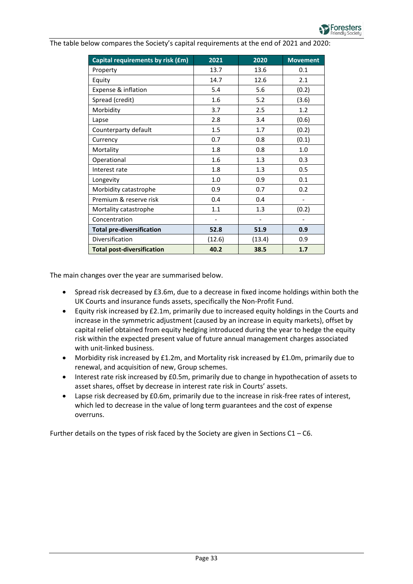

The table below compares the Society's capital requirements at the end of 2021 and 2020:

| Capital requirements by risk (£m) | 2021                         | 2020                         | <b>Movement</b> |
|-----------------------------------|------------------------------|------------------------------|-----------------|
| Property                          | 13.7                         | 13.6                         | 0.1             |
| Equity                            | 14.7                         | 12.6                         | 2.1             |
| Expense & inflation               | 5.4                          | 5.6                          | (0.2)           |
| Spread (credit)                   | 1.6                          | 5.2                          | (3.6)           |
| Morbidity                         | 3.7                          | 2.5                          | 1.2             |
| Lapse                             | 2.8                          | 3.4                          | (0.6)           |
| Counterparty default              | 1.5                          | 1.7                          | (0.2)           |
| Currency                          | 0.7                          | 0.8                          | (0.1)           |
| Mortality                         | 1.8                          | 0.8                          | 1.0             |
| Operational                       | 1.6                          | 1.3                          | 0.3             |
| Interest rate                     | 1.8                          | 1.3                          | 0.5             |
| Longevity                         | 1.0                          | 0.9                          | 0.1             |
| Morbidity catastrophe             | 0.9                          | 0.7                          | 0.2             |
| Premium & reserve risk            | 0.4                          | 0.4                          |                 |
| Mortality catastrophe             | 1.1                          | 1.3                          | (0.2)           |
| Concentration                     | $\qquad \qquad \blacksquare$ | $\qquad \qquad \blacksquare$ |                 |
| <b>Total pre-diversification</b>  | 52.8                         | 51.9                         | 0.9             |
| Diversification                   | (12.6)                       | (13.4)                       | 0.9             |
| <b>Total post-diversification</b> | 40.2                         | 38.5                         | 1.7             |

The main changes over the year are summarised below.

- Spread risk decreased by £3.6m, due to a decrease in fixed income holdings within both the UK Courts and insurance funds assets, specifically the Non-Profit Fund.
- Equity risk increased by £2.1m, primarily due to increased equity holdings in the Courts and increase in the symmetric adjustment (caused by an increase in equity markets), offset by capital relief obtained from equity hedging introduced during the year to hedge the equity risk within the expected present value of future annual management charges associated with unit-linked business.
- Morbidity risk increased by £1.2m, and Mortality risk increased by £1.0m, primarily due to renewal, and acquisition of new, Group schemes.
- Interest rate risk increased by £0.5m, primarily due to change in hypothecation of assets to asset shares, offset by decrease in interest rate risk in Courts' assets.
- Lapse risk decreased by £0.6m, primarily due to the increase in risk-free rates of interest, which led to decrease in the value of long term guarantees and the cost of expense overruns.

Further details on the types of risk faced by the Society are given in Sections C1 – C6.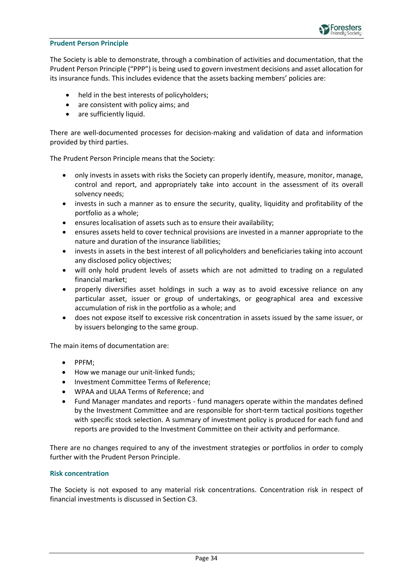

#### **Prudent Person Principle**

The Society is able to demonstrate, through a combination of activities and documentation, that the Prudent Person Principle ("PPP") is being used to govern investment decisions and asset allocation for its insurance funds. This includes evidence that the assets backing members' policies are:

- held in the best interests of policyholders;
- are consistent with policy aims; and
- are sufficiently liquid.

There are well-documented processes for decision-making and validation of data and information provided by third parties.

The Prudent Person Principle means that the Society:

- only invests in assets with risks the Society can properly identify, measure, monitor, manage, control and report, and appropriately take into account in the assessment of its overall solvency needs;
- invests in such a manner as to ensure the security, quality, liquidity and profitability of the portfolio as a whole;
- ensures localisation of assets such as to ensure their availability;
- ensures assets held to cover technical provisions are invested in a manner appropriate to the nature and duration of the insurance liabilities;
- invests in assets in the best interest of all policyholders and beneficiaries taking into account any disclosed policy objectives;
- will only hold prudent levels of assets which are not admitted to trading on a regulated financial market;
- properly diversifies asset holdings in such a way as to avoid excessive reliance on any particular asset, issuer or group of undertakings, or geographical area and excessive accumulation of risk in the portfolio as a whole; and
- does not expose itself to excessive risk concentration in assets issued by the same issuer, or by issuers belonging to the same group.

The main items of documentation are:

- PPFM;
- How we manage our unit-linked funds;
- Investment Committee Terms of Reference;
- WPAA and ULAA Terms of Reference; and
- Fund Manager mandates and reports fund managers operate within the mandates defined by the Investment Committee and are responsible for short-term tactical positions together with specific stock selection. A summary of investment policy is produced for each fund and reports are provided to the Investment Committee on their activity and performance.

There are no changes required to any of the investment strategies or portfolios in order to comply further with the Prudent Person Principle.

#### **Risk concentration**

The Society is not exposed to any material risk concentrations. Concentration risk in respect of financial investments is discussed in Section C3.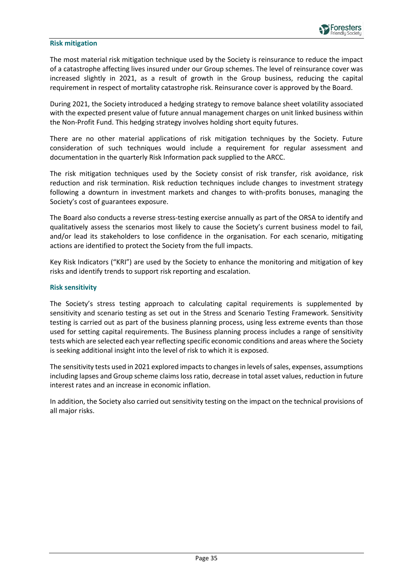#### **Risk mitigation**

The most material risk mitigation technique used by the Society is reinsurance to reduce the impact of a catastrophe affecting lives insured under our Group schemes. The level of reinsurance cover was increased slightly in 2021, as a result of growth in the Group business, reducing the capital requirement in respect of mortality catastrophe risk. Reinsurance cover is approved by the Board.

During 2021, the Society introduced a hedging strategy to remove balance sheet volatility associated with the expected present value of future annual management charges on unit linked business within the Non-Profit Fund. This hedging strategy involves holding short equity futures.

There are no other material applications of risk mitigation techniques by the Society. Future consideration of such techniques would include a requirement for regular assessment and documentation in the quarterly Risk Information pack supplied to the ARCC.

The risk mitigation techniques used by the Society consist of risk transfer, risk avoidance, risk reduction and risk termination. Risk reduction techniques include changes to investment strategy following a downturn in investment markets and changes to with-profits bonuses, managing the Society's cost of guarantees exposure.

The Board also conducts a reverse stress-testing exercise annually as part of the ORSA to identify and qualitatively assess the scenarios most likely to cause the Society's current business model to fail, and/or lead its stakeholders to lose confidence in the organisation. For each scenario, mitigating actions are identified to protect the Society from the full impacts.

Key Risk Indicators ("KRI") are used by the Society to enhance the monitoring and mitigation of key risks and identify trends to support risk reporting and escalation.

#### **Risk sensitivity**

The Society's stress testing approach to calculating capital requirements is supplemented by sensitivity and scenario testing as set out in the Stress and Scenario Testing Framework. Sensitivity testing is carried out as part of the business planning process, using less extreme events than those used for setting capital requirements. The Business planning process includes a range of sensitivity tests which are selected each year reflecting specific economic conditions and areas where the Society is seeking additional insight into the level of risk to which it is exposed.

The sensitivity tests used in 2021 explored impacts to changes in levels of sales, expenses, assumptions including lapses and Group scheme claims loss ratio, decrease in total asset values, reduction in future interest rates and an increase in economic inflation.

In addition, the Society also carried out sensitivity testing on the impact on the technical provisions of all major risks.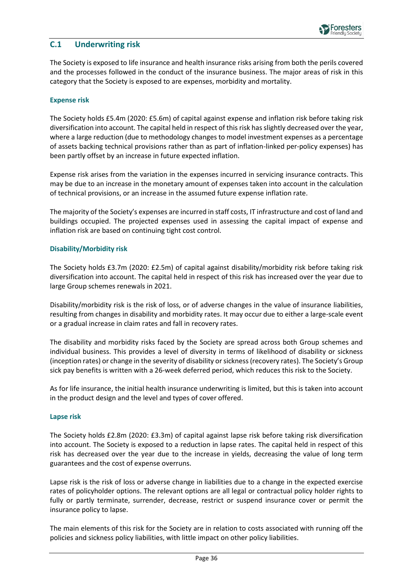

### <span id="page-35-0"></span>**C.1 Underwriting risk**

The Society is exposed to life insurance and health insurance risks arising from both the perils covered and the processes followed in the conduct of the insurance business. The major areas of risk in this category that the Society is exposed to are expenses, morbidity and mortality.

#### **Expense risk**

The Society holds £5.4m (2020: £5.6m) of capital against expense and inflation risk before taking risk diversification into account. The capital held in respect of this risk has slightly decreased over the year, where a large reduction (due to methodology changes to model investment expenses as a percentage of assets backing technical provisions rather than as part of inflation-linked per-policy expenses) has been partly offset by an increase in future expected inflation.

Expense risk arises from the variation in the expenses incurred in servicing insurance contracts. This may be due to an increase in the monetary amount of expenses taken into account in the calculation of technical provisions, or an increase in the assumed future expense inflation rate.

The majority of the Society's expenses are incurred in staff costs, IT infrastructure and cost of land and buildings occupied. The projected expenses used in assessing the capital impact of expense and inflation risk are based on continuing tight cost control.

#### **Disability/Morbidity risk**

The Society holds £3.7m (2020: £2.5m) of capital against disability/morbidity risk before taking risk diversification into account. The capital held in respect of this risk has increased over the year due to large Group schemes renewals in 2021.

Disability/morbidity risk is the risk of loss, or of adverse changes in the value of insurance liabilities, resulting from changes in disability and morbidity rates. It may occur due to either a large-scale event or a gradual increase in claim rates and fall in recovery rates.

The disability and morbidity risks faced by the Society are spread across both Group schemes and individual business. This provides a level of diversity in terms of likelihood of disability or sickness (inception rates) or change in the severity of disability or sickness (recovery rates). The Society's Group sick pay benefits is written with a 26-week deferred period, which reduces this risk to the Society.

As for life insurance, the initial health insurance underwriting is limited, but this is taken into account in the product design and the level and types of cover offered.

#### **Lapse risk**

The Society holds £2.8m (2020: £3.3m) of capital against lapse risk before taking risk diversification into account. The Society is exposed to a reduction in lapse rates. The capital held in respect of this risk has decreased over the year due to the increase in yields, decreasing the value of long term guarantees and the cost of expense overruns.

Lapse risk is the risk of loss or adverse change in liabilities due to a change in the expected exercise rates of policyholder options. The relevant options are all legal or contractual policy holder rights to fully or partly terminate, surrender, decrease, restrict or suspend insurance cover or permit the insurance policy to lapse.

The main elements of this risk for the Society are in relation to costs associated with running off the policies and sickness policy liabilities, with little impact on other policy liabilities.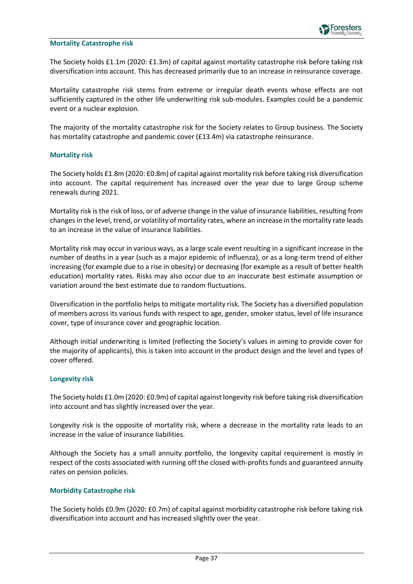#### **Mortality Catastrophe risk**

The Society holds £1.1m (2020: £1.3m) of capital against mortality catastrophe risk before taking risk diversification into account. This has decreased primarily due to an increase in reinsurance coverage.

Mortality catastrophe risk stems from extreme or irregular death events whose effects are not sufficiently captured in the other life underwriting risk sub-modules. Examples could be a pandemic event or a nuclear explosion.

The majority of the mortality catastrophe risk for the Society relates to Group business. The Society has mortality catastrophe and pandemic cover (£13.4m) via catastrophe reinsurance.

#### **Mortality risk**

The Society holds £1.8m (2020: £0.8m) of capital against mortality risk before taking risk diversification into account. The capital requirement has increased over the year due to large Group scheme renewals during 2021.

Mortality risk is the risk of loss, or of adverse change in the value of insurance liabilities, resulting from changes in the level, trend, or volatility of mortality rates, where an increase in the mortality rate leads to an increase in the value of insurance liabilities.

Mortality risk may occur in various ways, as a large scale event resulting in a significant increase in the number of deaths in a year (such as a major epidemic of influenza), or as a long-term trend of either increasing (for example due to a rise in obesity) or decreasing (for example as a result of better health education) mortality rates. Risks may also occur due to an inaccurate best estimate assumption or variation around the best estimate due to random fluctuations.

Diversification in the portfolio helps to mitigate mortality risk. The Society has a diversified population of members across its various funds with respect to age, gender, smoker status, level of life insurance cover, type of insurance cover and geographic location.

Although initial underwriting is limited (reflecting the Society's values in aiming to provide cover for the majority of applicants), this is taken into account in the product design and the level and types of cover offered.

#### **Longevity risk**

The Society holds £1.0m (2020: £0.9m) of capital against longevity risk before taking risk diversification into account and has slightly increased over the year.

Longevity risk is the opposite of mortality risk, where a decrease in the mortality rate leads to an increase in the value of insurance liabilities.

Although the Society has a small annuity portfolio, the longevity capital requirement is mostly in respect of the costs associated with running off the closed with-profits funds and guaranteed annuity rates on pension policies.

#### **Morbidity Catastrophe risk**

The Society holds £0.9m (2020: £0.7m) of capital against morbidity catastrophe risk before taking risk diversification into account and has increased slightly over the year.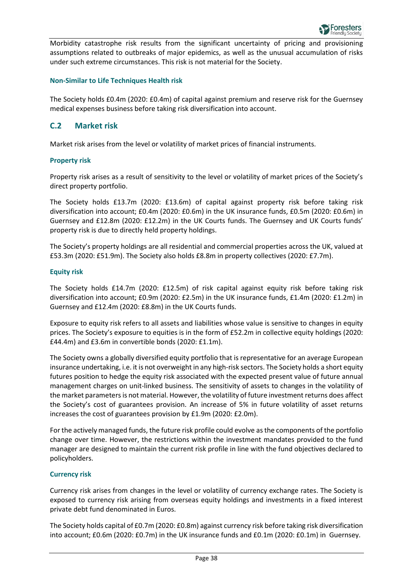

Morbidity catastrophe risk results from the significant uncertainty of pricing and provisioning assumptions related to outbreaks of major epidemics, as well as the unusual accumulation of risks under such extreme circumstances. This risk is not material for the Society.

#### **Non-Similar to Life Techniques Health risk**

The Society holds £0.4m (2020: £0.4m) of capital against premium and reserve risk for the Guernsey medical expenses business before taking risk diversification into account.

### <span id="page-37-0"></span>**C.2 Market risk**

Market risk arises from the level or volatility of market prices of financial instruments.

#### **Property risk**

Property risk arises as a result of sensitivity to the level or volatility of market prices of the Society's direct property portfolio.

The Society holds £13.7m (2020: £13.6m) of capital against property risk before taking risk diversification into account; £0.4m (2020: £0.6m) in the UK insurance funds, £0.5m (2020: £0.6m) in Guernsey and £12.8m (2020: £12.2m) in the UK Courts funds. The Guernsey and UK Courts funds' property risk is due to directly held property holdings.

The Society's property holdings are all residential and commercial properties across the UK, valued at £53.3m (2020: £51.9m). The Society also holds £8.8m in property collectives (2020: £7.7m).

#### **Equity risk**

The Society holds £14.7m (2020: £12.5m) of risk capital against equity risk before taking risk diversification into account; £0.9m (2020: £2.5m) in the UK insurance funds, £1.4m (2020: £1.2m) in Guernsey and £12.4m (2020: £8.8m) in the UK Courts funds.

Exposure to equity risk refers to all assets and liabilities whose value is sensitive to changes in equity prices. The Society's exposure to equities is in the form of £52.2m in collective equity holdings (2020: £44.4m) and £3.6m in convertible bonds (2020: £1.1m).

The Society owns a globally diversified equity portfolio that is representative for an average European insurance undertaking, i.e. it is not overweight in any high-risk sectors. The Society holds a short equity futures position to hedge the equity risk associated with the expected present value of future annual management charges on unit-linked business. The sensitivity of assets to changes in the volatility of the market parameters is not material. However, the volatility of future investment returns does affect the Society's cost of guarantees provision. An increase of 5% in future volatility of asset returns increases the cost of guarantees provision by £1.9m (2020: £2.0m).

For the actively managed funds, the future risk profile could evolve as the components of the portfolio change over time. However, the restrictions within the investment mandates provided to the fund manager are designed to maintain the current risk profile in line with the fund objectives declared to policyholders.

#### **Currency risk**

Currency risk arises from changes in the level or volatility of currency exchange rates. The Society is exposed to currency risk arising from overseas equity holdings and investments in a fixed interest private debt fund denominated in Euros.

The Society holds capital of £0.7m (2020: £0.8m) against currency risk before taking risk diversification into account; £0.6m (2020: £0.7m) in the UK insurance funds and £0.1m (2020: £0.1m) in Guernsey.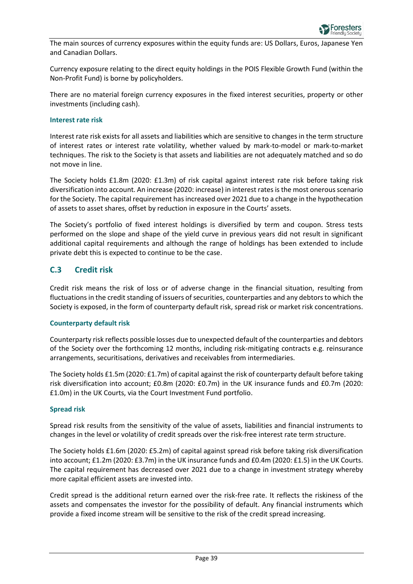The main sources of currency exposures within the equity funds are: US Dollars, Euros, Japanese Yen and Canadian Dollars.

Currency exposure relating to the direct equity holdings in the POIS Flexible Growth Fund (within the Non-Profit Fund) is borne by policyholders.

There are no material foreign currency exposures in the fixed interest securities, property or other investments (including cash).

#### **Interest rate risk**

Interest rate risk exists for all assets and liabilities which are sensitive to changes in the term structure of interest rates or interest rate volatility, whether valued by mark-to-model or mark-to-market techniques. The risk to the Society is that assets and liabilities are not adequately matched and so do not move in line.

The Society holds £1.8m (2020: £1.3m) of risk capital against interest rate risk before taking risk diversification into account. An increase (2020: increase) in interest rates is the most onerous scenario for the Society. The capital requirement has increased over 2021 due to a change in the hypothecation of assets to asset shares, offset by reduction in exposure in the Courts' assets.

The Society's portfolio of fixed interest holdings is diversified by term and coupon. Stress tests performed on the slope and shape of the yield curve in previous years did not result in significant additional capital requirements and although the range of holdings has been extended to include private debt this is expected to continue to be the case.

### <span id="page-38-0"></span>**C.3 Credit risk**

Credit risk means the risk of loss or of adverse change in the financial situation, resulting from fluctuations in the credit standing of issuers of securities, counterparties and any debtors to which the Society is exposed, in the form of counterparty default risk, spread risk or market risk concentrations.

#### **Counterparty default risk**

Counterparty risk reflects possible losses due to unexpected default of the counterparties and debtors of the Society over the forthcoming 12 months, including risk-mitigating contracts e.g. reinsurance arrangements, securitisations, derivatives and receivables from intermediaries.

The Society holds £1.5m (2020: £1.7m) of capital against the risk of counterparty default before taking risk diversification into account; £0.8m (2020: £0.7m) in the UK insurance funds and £0.7m (2020: £1.0m) in the UK Courts, via the Court Investment Fund portfolio.

#### **Spread risk**

Spread risk results from the sensitivity of the value of assets, liabilities and financial instruments to changes in the level or volatility of credit spreads over the risk-free interest rate term structure.

The Society holds £1.6m (2020: £5.2m) of capital against spread risk before taking risk diversification into account; £1.2m (2020: £3.7m) in the UK insurance funds and £0.4m (2020: £1.5) in the UK Courts. The capital requirement has decreased over 2021 due to a change in investment strategy whereby more capital efficient assets are invested into.

Credit spread is the additional return earned over the risk-free rate. It reflects the riskiness of the assets and compensates the investor for the possibility of default. Any financial instruments which provide a fixed income stream will be sensitive to the risk of the credit spread increasing.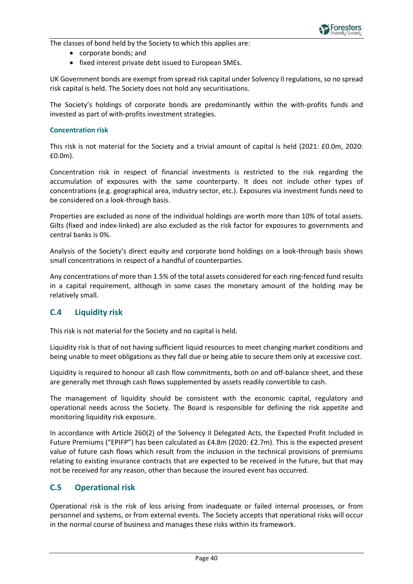

The classes of bond held by the Society to which this applies are:

- corporate bonds; and
- fixed interest private debt issued to European SMEs.

UK Government bonds are exempt from spread risk capital under Solvency II regulations, so no spread risk capital is held. The Society does not hold any securitisations.

The Society's holdings of corporate bonds are predominantly within the with-profits funds and invested as part of with-profits investment strategies.

#### **Concentration risk**

This risk is not material for the Society and a trivial amount of capital is held (2021: £0.0m, 2020: £0.0m).

Concentration risk in respect of financial investments is restricted to the risk regarding the accumulation of exposures with the same counterparty. It does not include other types of concentrations (e.g. geographical area, industry sector, etc.). Exposures via investment funds need to be considered on a look-through basis.

Properties are excluded as none of the individual holdings are worth more than 10% of total assets. Gilts (fixed and index-linked) are also excluded as the risk factor for exposures to governments and central banks is 0%.

Analysis of the Society's direct equity and corporate bond holdings on a look-through basis shows small concentrations in respect of a handful of counterparties.

Any concentrations of more than 1.5% of the total assets considered for each ring-fenced fund results in a capital requirement, although in some cases the monetary amount of the holding may be relatively small.

### <span id="page-39-0"></span>**C.4 Liquidity risk**

This risk is not material for the Society and no capital is held.

Liquidity risk is that of not having sufficient liquid resources to meet changing market conditions and being unable to meet obligations as they fall due or being able to secure them only at excessive cost.

Liquidity is required to honour all cash flow commitments, both on and off-balance sheet, and these are generally met through cash flows supplemented by assets readily convertible to cash.

The management of liquidity should be consistent with the economic capital, regulatory and operational needs across the Society. The Board is responsible for defining the risk appetite and monitoring liquidity risk exposure.

In accordance with Article 260(2) of the Solvency II Delegated Acts, the Expected Profit Included in Future Premiums ("EPIFP") has been calculated as £4.8m (2020: £2.7m). This is the expected present value of future cash flows which result from the inclusion in the technical provisions of premiums relating to existing insurance contracts that are expected to be received in the future, but that may not be received for any reason, other than because the insured event has occurred.

### <span id="page-39-1"></span>**C.5 Operational risk**

Operational risk is the risk of loss arising from inadequate or failed internal processes, or from personnel and systems, or from external events. The Society accepts that operational risks will occur in the normal course of business and manages these risks within its framework.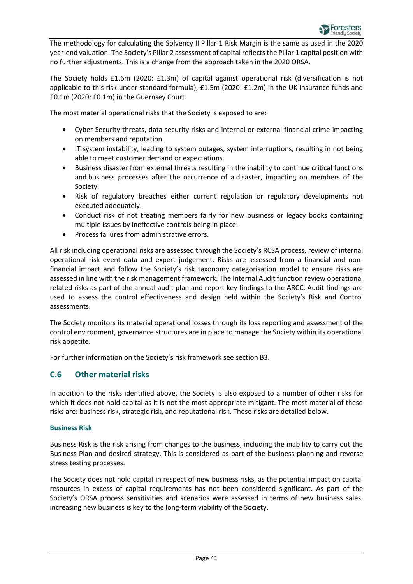The methodology for calculating the Solvency II Pillar 1 Risk Margin is the same as used in the 2020 year-end valuation. The Society's Pillar 2 assessment of capital reflects the Pillar 1 capital position with no further adjustments. This is a change from the approach taken in the 2020 ORSA.

The Society holds £1.6m (2020: £1.3m) of capital against operational risk (diversification is not applicable to this risk under standard formula), £1.5m (2020: £1.2m) in the UK insurance funds and £0.1m (2020: £0.1m) in the Guernsey Court.

The most material operational risks that the Society is exposed to are:

- Cyber Security threats, data security risks and internal or external financial crime impacting on members and reputation.
- IT system instability, leading to system outages, system interruptions, resulting in not being able to meet customer demand or expectations.
- Business disaster from external threats resulting in the inability to continue critical functions and business processes after the occurrence of a disaster, impacting on members of the Society.
- Risk of regulatory breaches either current regulation or regulatory developments not executed adequately.
- Conduct risk of not treating members fairly for new business or legacy books containing multiple issues by ineffective controls being in place.
- Process failures from administrative errors.

All risk including operational risks are assessed through the Society's RCSA process, review of internal operational risk event data and expert judgement. Risks are assessed from a financial and nonfinancial impact and follow the Society's risk taxonomy categorisation model to ensure risks are assessed in line with the risk management framework. The Internal Audit function review operational related risks as part of the annual audit plan and report key findings to the ARCC. Audit findings are used to assess the control effectiveness and design held within the Society's Risk and Control assessments.

The Society monitors its material operational losses through its loss reporting and assessment of the control environment, governance structures are in place to manage the Society within its operational risk appetite.

For further information on the Society's risk framework see section B3.

### <span id="page-40-0"></span>**C.6 Other material risks**

In addition to the risks identified above, the Society is also exposed to a number of other risks for which it does not hold capital as it is not the most appropriate mitigant. The most material of these risks are: business risk, strategic risk, and reputational risk. These risks are detailed below.

### **Business Risk**

Business Risk is the risk arising from changes to the business, including the inability to carry out the Business Plan and desired strategy. This is considered as part of the business planning and reverse stress testing processes.

The Society does not hold capital in respect of new business risks, as the potential impact on capital resources in excess of capital requirements has not been considered significant. As part of the Society's ORSA process sensitivities and scenarios were assessed in terms of new business sales, increasing new business is key to the long-term viability of the Society.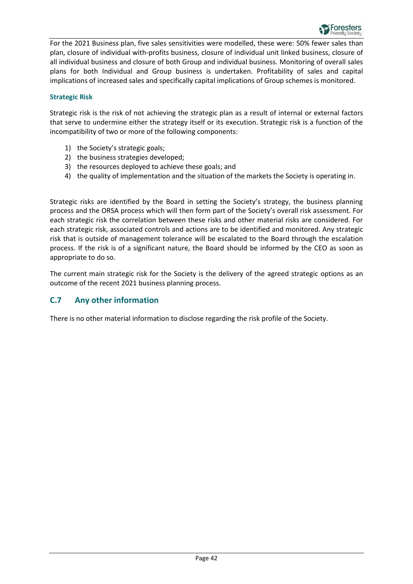

For the 2021 Business plan, five sales sensitivities were modelled, these were: 50% fewer sales than plan, closure of individual with-profits business, closure of individual unit linked business, closure of all individual business and closure of both Group and individual business. Monitoring of overall sales plans for both Individual and Group business is undertaken. Profitability of sales and capital implications of increased sales and specifically capital implications of Group schemes is monitored.

#### **Strategic Risk**

Strategic risk is the risk of not achieving the strategic plan as a result of internal or external factors that serve to undermine either the strategy itself or its execution. Strategic risk is a function of the incompatibility of two or more of the following components:

- 1) the Society's strategic goals;
- 2) the business strategies developed;
- 3) the resources deployed to achieve these goals; and
- 4) the quality of implementation and the situation of the markets the Society is operating in.

Strategic risks are identified by the Board in setting the Society's strategy, the business planning process and the ORSA process which will then form part of the Society's overall risk assessment. For each strategic risk the correlation between these risks and other material risks are considered. For each strategic risk, associated controls and actions are to be identified and monitored. Any strategic risk that is outside of management tolerance will be escalated to the Board through the escalation process. If the risk is of a significant nature, the Board should be informed by the CEO as soon as appropriate to do so.

The current main strategic risk for the Society is the delivery of the agreed strategic options as an outcome of the recent 2021 business planning process.

### <span id="page-41-0"></span>**C.7 Any other information**

There is no other material information to disclose regarding the risk profile of the Society.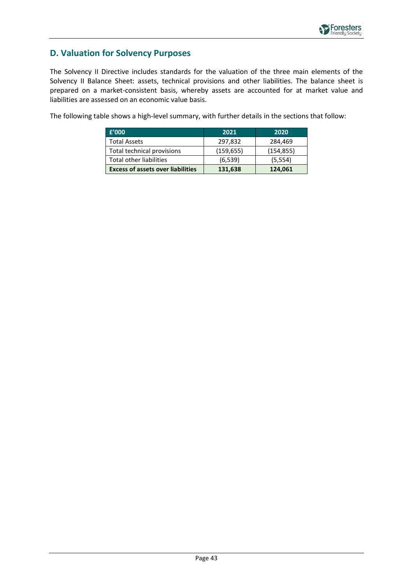### <span id="page-42-0"></span>**D. Valuation for Solvency Purposes**

The Solvency II Directive includes standards for the valuation of the three main elements of the Solvency II Balance Sheet: assets, technical provisions and other liabilities. The balance sheet is prepared on a market-consistent basis, whereby assets are accounted for at market value and liabilities are assessed on an economic value basis.

The following table shows a high-level summary, with further details in the sections that follow:

| f'000                                    | 2021       | 2020       |
|------------------------------------------|------------|------------|
| <b>Total Assets</b>                      | 297,832    | 284,469    |
| Total technical provisions               | (159, 655) | (154, 855) |
| Total other liabilities                  | (6, 539)   | (5, 554)   |
| <b>Excess of assets over liabilities</b> | 131,638    | 124,061    |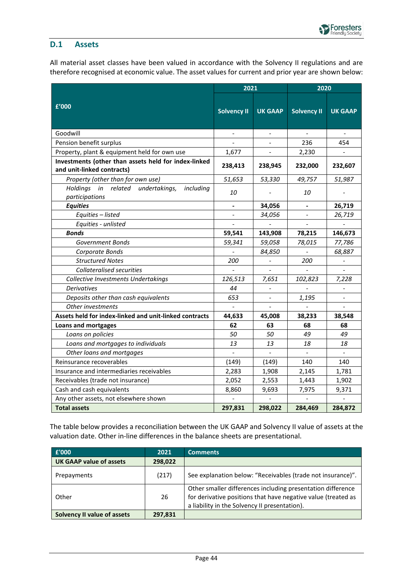### <span id="page-43-0"></span>**D.1 Assets**

All material asset classes have been valued in accordance with the Solvency II regulations and are therefore recognised at economic value. The asset values for current and prior year are shown below:

|                                                                                    | 2021               |                | 2020               |                          |
|------------------------------------------------------------------------------------|--------------------|----------------|--------------------|--------------------------|
| £'000                                                                              | <b>Solvency II</b> | <b>UK GAAP</b> | <b>Solvency II</b> | <b>UK GAAP</b>           |
| Goodwill                                                                           |                    | $\blacksquare$ | $\mathbf{r}$       | $\blacksquare$           |
| Pension benefit surplus                                                            |                    |                | 236                | 454                      |
| Property, plant & equipment held for own use                                       | 1,677              |                | 2,230              |                          |
| Investments (other than assets held for index-linked<br>and unit-linked contracts) | 238,413            | 238,945        | 232,000            | 232,607                  |
| Property (other than for own use)                                                  | 51,653             | 53,330         | 49,757             | 51,987                   |
| Holdings in related undertakings,<br>including<br>participations                   | 10                 |                | 10                 |                          |
| <b>Equities</b>                                                                    |                    | 34,056         |                    | 26,719                   |
| Equities - listed                                                                  |                    | 34,056         |                    | 26,719                   |
| Equities - unlisted                                                                |                    |                |                    |                          |
| <b>Bonds</b>                                                                       | 59,541             | 143,908        | 78,215             | 146,673                  |
| Government Bonds                                                                   | 59,341             | 59,058         | 78,015             | 77,786                   |
| Corporate Bonds                                                                    |                    | 84,850         |                    | 68,887                   |
| <b>Structured Notes</b>                                                            | 200                |                | 200                | $\overline{\phantom{a}}$ |
| <b>Collateralised securities</b>                                                   |                    | $\overline{a}$ | $\overline{a}$     | $\overline{a}$           |
| Collective Investments Undertakings                                                | 126,513            | 7,651          | 102,823            | 7,228                    |
| <b>Derivatives</b>                                                                 | 44                 |                |                    |                          |
| Deposits other than cash equivalents                                               | 653                |                | 1,195              |                          |
| Other investments                                                                  |                    |                |                    |                          |
| Assets held for index-linked and unit-linked contracts                             | 44,633             | 45,008         | 38,233             | 38,548                   |
| <b>Loans and mortgages</b>                                                         | 62                 | 63             | 68                 | 68                       |
| Loans on policies                                                                  | 50                 | 50             | 49                 | 49                       |
| Loans and mortgages to individuals                                                 | 13                 | 13             | 18                 | 18                       |
| Other loans and mortgages                                                          |                    |                |                    | $\overline{\phantom{a}}$ |
| Reinsurance recoverables                                                           | (149)              | (149)          | 140                | 140                      |
| Insurance and intermediaries receivables                                           | 2,283              | 1,908          | 2,145              | 1,781                    |
| Receivables (trade not insurance)                                                  | 2,052              | 2,553          | 1,443              | 1,902                    |
| Cash and cash equivalents                                                          | 8,860              | 9,693          | 7,975              | 9,371                    |
| Any other assets, not elsewhere shown                                              |                    |                |                    |                          |
| <b>Total assets</b>                                                                | 297,831            | 298,022        | 284,469            | 284,872                  |

The table below provides a reconciliation between the UK GAAP and Solvency II value of assets at the valuation date. Other in-line differences in the balance sheets are presentational.

| £'000                              | 2021    | <b>Comments</b>                                                                                                                                                               |
|------------------------------------|---------|-------------------------------------------------------------------------------------------------------------------------------------------------------------------------------|
| <b>UK GAAP value of assets</b>     | 298,022 |                                                                                                                                                                               |
| Prepayments                        | (217)   | See explanation below: "Receivables (trade not insurance)".                                                                                                                   |
| Other                              | 26      | Other smaller differences including presentation difference<br>for derivative positions that have negative value (treated as<br>a liability in the Solvency II presentation). |
| <b>Solvency II value of assets</b> | 297,831 |                                                                                                                                                                               |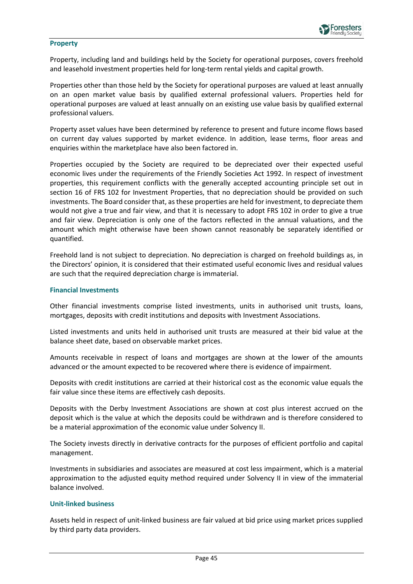#### **Property**

Property, including land and buildings held by the Society for operational purposes, covers freehold and leasehold investment properties held for long-term rental yields and capital growth.

Properties other than those held by the Society for operational purposes are valued at least annually on an open market value basis by qualified external professional valuers. Properties held for operational purposes are valued at least annually on an existing use value basis by qualified external professional valuers.

Property asset values have been determined by reference to present and future income flows based on current day values supported by market evidence. In addition, lease terms, floor areas and enquiries within the marketplace have also been factored in.

Properties occupied by the Society are required to be depreciated over their expected useful economic lives under the requirements of the Friendly Societies Act 1992. In respect of investment properties, this requirement conflicts with the generally accepted accounting principle set out in section 16 of FRS 102 for Investment Properties, that no depreciation should be provided on such investments. The Board consider that, as these properties are held for investment, to depreciate them would not give a true and fair view, and that it is necessary to adopt FRS 102 in order to give a true and fair view. Depreciation is only one of the factors reflected in the annual valuations, and the amount which might otherwise have been shown cannot reasonably be separately identified or quantified.

Freehold land is not subject to depreciation. No depreciation is charged on freehold buildings as, in the Directors' opinion, it is considered that their estimated useful economic lives and residual values are such that the required depreciation charge is immaterial.

#### **Financial Investments**

Other financial investments comprise listed investments, units in authorised unit trusts, loans, mortgages, deposits with credit institutions and deposits with Investment Associations.

Listed investments and units held in authorised unit trusts are measured at their bid value at the balance sheet date, based on observable market prices.

Amounts receivable in respect of loans and mortgages are shown at the lower of the amounts advanced or the amount expected to be recovered where there is evidence of impairment.

Deposits with credit institutions are carried at their historical cost as the economic value equals the fair value since these items are effectively cash deposits.

Deposits with the Derby Investment Associations are shown at cost plus interest accrued on the deposit which is the value at which the deposits could be withdrawn and is therefore considered to be a material approximation of the economic value under Solvency II.

The Society invests directly in derivative contracts for the purposes of efficient portfolio and capital management.

Investments in subsidiaries and associates are measured at cost less impairment, which is a material approximation to the adjusted equity method required under Solvency II in view of the immaterial balance involved.

#### **Unit-linked business**

Assets held in respect of unit-linked business are fair valued at bid price using market prices supplied by third party data providers.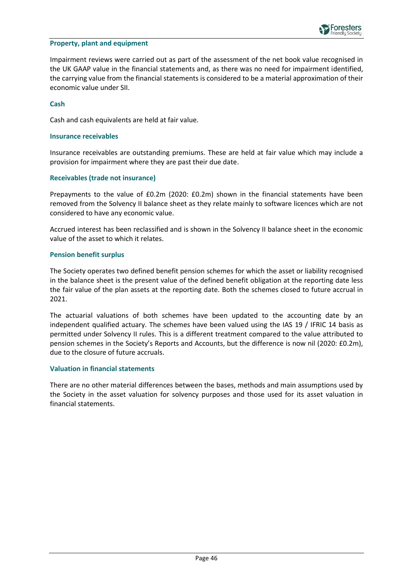

#### **Property, plant and equipment**

Impairment reviews were carried out as part of the assessment of the net book value recognised in the UK GAAP value in the financial statements and, as there was no need for impairment identified, the carrying value from the financial statements is considered to be a material approximation of their economic value under SII.

#### **Cash**

Cash and cash equivalents are held at fair value.

#### **Insurance receivables**

Insurance receivables are outstanding premiums. These are held at fair value which may include a provision for impairment where they are past their due date.

#### **Receivables (trade not insurance)**

Prepayments to the value of £0.2m (2020: £0.2m) shown in the financial statements have been removed from the Solvency II balance sheet as they relate mainly to software licences which are not considered to have any economic value.

Accrued interest has been reclassified and is shown in the Solvency II balance sheet in the economic value of the asset to which it relates.

#### **Pension benefit surplus**

The Society operates two defined benefit pension schemes for which the asset or liability recognised in the balance sheet is the present value of the defined benefit obligation at the reporting date less the fair value of the plan assets at the reporting date. Both the schemes closed to future accrual in 2021.

The actuarial valuations of both schemes have been updated to the accounting date by an independent qualified actuary. The schemes have been valued using the IAS 19 / IFRIC 14 basis as permitted under Solvency II rules. This is a different treatment compared to the value attributed to pension schemes in the Society's Reports and Accounts, but the difference is now nil (2020: £0.2m), due to the closure of future accruals.

#### **Valuation in financial statements**

There are no other material differences between the bases, methods and main assumptions used by the Society in the asset valuation for solvency purposes and those used for its asset valuation in financial statements.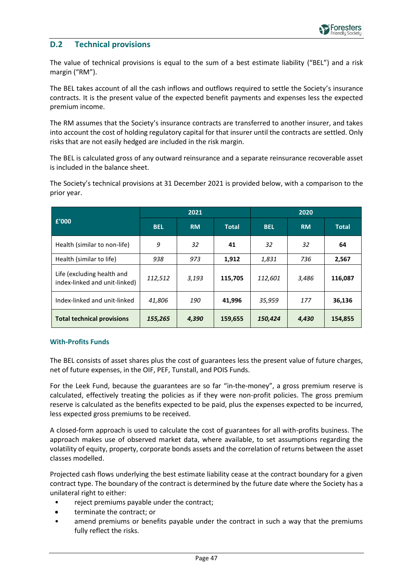### <span id="page-46-0"></span>**D.2 Technical provisions**

The value of technical provisions is equal to the sum of a best estimate liability ("BEL") and a risk margin ("RM").

The BEL takes account of all the cash inflows and outflows required to settle the Society's insurance contracts. It is the present value of the expected benefit payments and expenses less the expected premium income.

The RM assumes that the Society's insurance contracts are transferred to another insurer, and takes into account the cost of holding regulatory capital for that insurer until the contracts are settled. Only risks that are not easily hedged are included in the risk margin.

The BEL is calculated gross of any outward reinsurance and a separate reinsurance recoverable asset is included in the balance sheet.

The Society's technical provisions at 31 December 2021 is provided below, with a comparison to the prior year.

|                                                             | 2021       |           | 2020         |            |           |              |
|-------------------------------------------------------------|------------|-----------|--------------|------------|-----------|--------------|
| f'000                                                       | <b>BEL</b> | <b>RM</b> | <b>Total</b> | <b>BEL</b> | <b>RM</b> | <b>Total</b> |
| Health (similar to non-life)                                | 9          | 32        | 41           | 32         | 32        | 64           |
| Health (similar to life)                                    | 938        | 973       | 1,912        | 1,831      | 736       | 2,567        |
| Life (excluding health and<br>index-linked and unit-linked) | 112,512    | 3,193     | 115,705      | 112,601    | 3,486     | 116,087      |
| Index-linked and unit-linked                                | 41,806     | 190       | 41,996       | 35,959     | 177       | 36,136       |
| <b>Total technical provisions</b>                           | 155,265    | 4,390     | 159,655      | 150,424    | 4,430     | 154,855      |

#### **With-Profits Funds**

The BEL consists of asset shares plus the cost of guarantees less the present value of future charges, net of future expenses, in the OIF, PEF, Tunstall, and POIS Funds.

For the Leek Fund, because the guarantees are so far "in-the-money", a gross premium reserve is calculated, effectively treating the policies as if they were non-profit policies. The gross premium reserve is calculated as the benefits expected to be paid, plus the expenses expected to be incurred, less expected gross premiums to be received.

A closed-form approach is used to calculate the cost of guarantees for all with-profits business. The approach makes use of observed market data, where available, to set assumptions regarding the volatility of equity, property, corporate bonds assets and the correlation of returns between the asset classes modelled.

Projected cash flows underlying the best estimate liability cease at the contract boundary for a given contract type. The boundary of the contract is determined by the future date where the Society has a unilateral right to either:

- reject premiums payable under the contract;
- terminate the contract; or
- amend premiums or benefits payable under the contract in such a way that the premiums fully reflect the risks.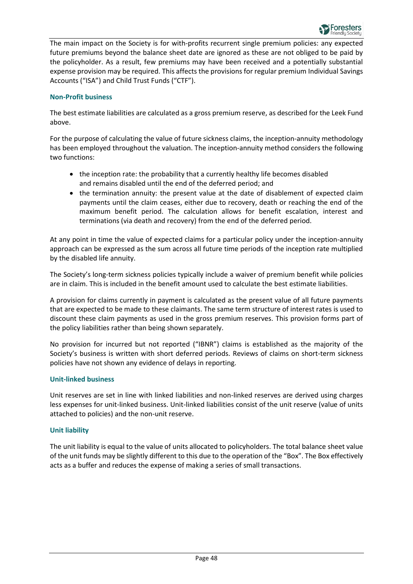

The main impact on the Society is for with-profits recurrent single premium policies: any expected future premiums beyond the balance sheet date are ignored as these are not obliged to be paid by the policyholder. As a result, few premiums may have been received and a potentially substantial expense provision may be required. This affects the provisions for regular premium Individual Savings Accounts ("ISA") and Child Trust Funds ("CTF").

#### **Non-Profit business**

The best estimate liabilities are calculated as a gross premium reserve, as described for the Leek Fund above.

For the purpose of calculating the value of future sickness claims, the inception-annuity methodology has been employed throughout the valuation. The inception-annuity method considers the following two functions:

- the inception rate: the probability that a currently healthy life becomes disabled and remains disabled until the end of the deferred period; and
- the termination annuity: the present value at the date of disablement of expected claim payments until the claim ceases, either due to recovery, death or reaching the end of the maximum benefit period. The calculation allows for benefit escalation, interest and terminations (via death and recovery) from the end of the deferred period.

At any point in time the value of expected claims for a particular policy under the inception-annuity approach can be expressed as the sum across all future time periods of the inception rate multiplied by the disabled life annuity.

The Society's long-term sickness policies typically include a waiver of premium benefit while policies are in claim. This is included in the benefit amount used to calculate the best estimate liabilities.

A provision for claims currently in payment is calculated as the present value of all future payments that are expected to be made to these claimants. The same term structure of interest rates is used to discount these claim payments as used in the gross premium reserves. This provision forms part of the policy liabilities rather than being shown separately.

No provision for incurred but not reported ("IBNR") claims is established as the majority of the Society's business is written with short deferred periods. Reviews of claims on short-term sickness policies have not shown any evidence of delays in reporting.

#### **Unit-linked business**

Unit reserves are set in line with linked liabilities and non-linked reserves are derived using charges less expenses for unit-linked business. Unit-linked liabilities consist of the unit reserve (value of units attached to policies) and the non-unit reserve.

#### **Unit liability**

The unit liability is equal to the value of units allocated to policyholders. The total balance sheet value of the unit funds may be slightly different to this due to the operation of the "Box". The Box effectively acts as a buffer and reduces the expense of making a series of small transactions.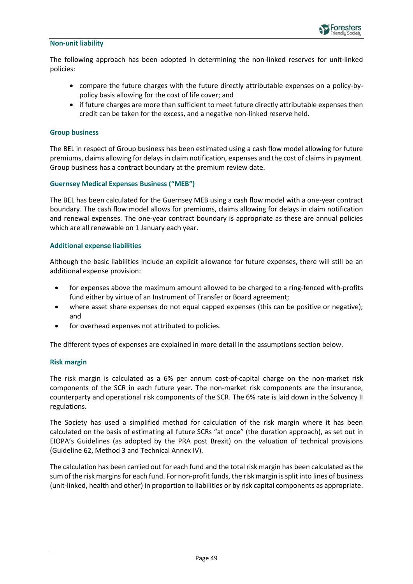

#### **Non-unit liability**

The following approach has been adopted in determining the non-linked reserves for unit-linked policies:

- compare the future charges with the future directly attributable expenses on a policy-bypolicy basis allowing for the cost of life cover; and
- if future charges are more than sufficient to meet future directly attributable expenses then credit can be taken for the excess, and a negative non-linked reserve held.

#### **Group business**

The BEL in respect of Group business has been estimated using a cash flow model allowing for future premiums, claims allowing for delays in claim notification, expenses and the cost of claims in payment. Group business has a contract boundary at the premium review date.

#### **Guernsey Medical Expenses Business ("MEB")**

The BEL has been calculated for the Guernsey MEB using a cash flow model with a one-year contract boundary. The cash flow model allows for premiums, claims allowing for delays in claim notification and renewal expenses. The one-year contract boundary is appropriate as these are annual policies which are all renewable on 1 January each year.

#### **Additional expense liabilities**

Although the basic liabilities include an explicit allowance for future expenses, there will still be an additional expense provision:

- for expenses above the maximum amount allowed to be charged to a ring-fenced with-profits fund either by virtue of an Instrument of Transfer or Board agreement;
- where asset share expenses do not equal capped expenses (this can be positive or negative); and
- for overhead expenses not attributed to policies.

The different types of expenses are explained in more detail in the assumptions section below.

#### **Risk margin**

The risk margin is calculated as a 6% per annum cost-of-capital charge on the non-market risk components of the SCR in each future year. The non-market risk components are the insurance, counterparty and operational risk components of the SCR. The 6% rate is laid down in the Solvency II regulations.

The Society has used a simplified method for calculation of the risk margin where it has been calculated on the basis of estimating all future SCRs "at once" (the duration approach), as set out in EIOPA's Guidelines (as adopted by the PRA post Brexit) on the valuation of technical provisions (Guideline 62, Method 3 and Technical Annex IV).

The calculation has been carried out for each fund and the total risk margin has been calculated as the sum of the risk margins for each fund. For non-profit funds, the risk margin issplit into lines of business (unit-linked, health and other) in proportion to liabilities or by risk capital components as appropriate.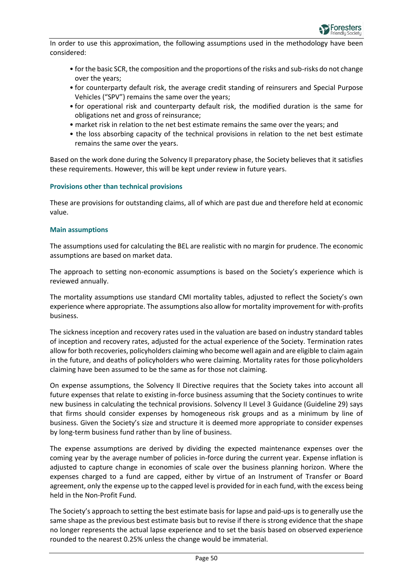In order to use this approximation, the following assumptions used in the methodology have been considered:

- for the basic SCR, the composition and the proportions of the risks and sub-risks do not change over the years;
- for counterparty default risk, the average credit standing of reinsurers and Special Purpose Vehicles ("SPV") remains the same over the years;
- for operational risk and counterparty default risk, the modified duration is the same for obligations net and gross of reinsurance;
- market risk in relation to the net best estimate remains the same over the years; and
- the loss absorbing capacity of the technical provisions in relation to the net best estimate remains the same over the years.

Based on the work done during the Solvency II preparatory phase, the Society believes that it satisfies these requirements. However, this will be kept under review in future years.

#### **Provisions other than technical provisions**

These are provisions for outstanding claims, all of which are past due and therefore held at economic value.

#### **Main assumptions**

The assumptions used for calculating the BEL are realistic with no margin for prudence. The economic assumptions are based on market data.

The approach to setting non-economic assumptions is based on the Society's experience which is reviewed annually.

The mortality assumptions use standard CMI mortality tables, adjusted to reflect the Society's own experience where appropriate. The assumptions also allow for mortality improvement for with-profits business.

The sickness inception and recovery rates used in the valuation are based on industry standard tables of inception and recovery rates, adjusted for the actual experience of the Society. Termination rates allow for both recoveries, policyholders claiming who become well again and are eligible to claim again in the future, and deaths of policyholders who were claiming. Mortality rates for those policyholders claiming have been assumed to be the same as for those not claiming.

On expense assumptions, the Solvency II Directive requires that the Society takes into account all future expenses that relate to existing in-force business assuming that the Society continues to write new business in calculating the technical provisions. Solvency II Level 3 Guidance (Guideline 29) says that firms should consider expenses by homogeneous risk groups and as a minimum by line of business. Given the Society's size and structure it is deemed more appropriate to consider expenses by long-term business fund rather than by line of business.

The expense assumptions are derived by dividing the expected maintenance expenses over the coming year by the average number of policies in-force during the current year. Expense inflation is adjusted to capture change in economies of scale over the business planning horizon. Where the expenses charged to a fund are capped, either by virtue of an Instrument of Transfer or Board agreement, only the expense up to the capped level is provided for in each fund, with the excess being held in the Non-Profit Fund.

The Society's approach to setting the best estimate basis for lapse and paid-ups is to generally use the same shape as the previous best estimate basis but to revise if there is strong evidence that the shape no longer represents the actual lapse experience and to set the basis based on observed experience rounded to the nearest 0.25% unless the change would be immaterial.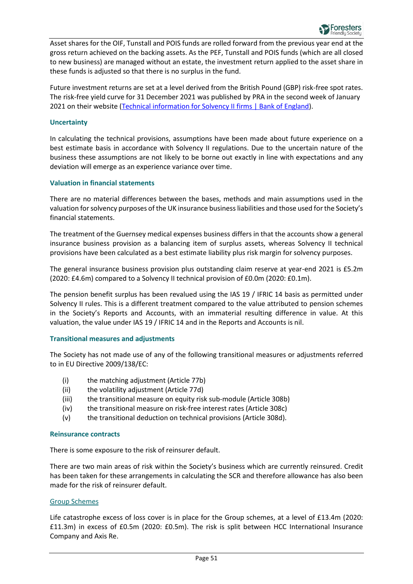

Asset shares for the OIF, Tunstall and POIS funds are rolled forward from the previous year end at the gross return achieved on the backing assets. As the PEF, Tunstall and POIS funds (which are all closed to new business) are managed without an estate, the investment return applied to the asset share in these funds is adjusted so that there is no surplus in the fund.

Future investment returns are set at a level derived from the British Pound (GBP) risk-free spot rates. The risk-free yield curve for 31 December 2021 was published by PRA in the second week of January 2021 on their website [\(Technical information for Solvency II firms | Bank of England\)](https://www.bankofengland.co.uk/prudential-regulation/key-initiatives/solvency-ii/technical-information).

#### **Uncertainty**

In calculating the technical provisions, assumptions have been made about future experience on a best estimate basis in accordance with Solvency II regulations. Due to the uncertain nature of the business these assumptions are not likely to be borne out exactly in line with expectations and any deviation will emerge as an experience variance over time.

#### **Valuation in financial statements**

There are no material differences between the bases, methods and main assumptions used in the valuation for solvency purposes of the UK insurance business liabilities and those used for the Society's financial statements.

The treatment of the Guernsey medical expenses business differs in that the accounts show a general insurance business provision as a balancing item of surplus assets, whereas Solvency II technical provisions have been calculated as a best estimate liability plus risk margin for solvency purposes.

The general insurance business provision plus outstanding claim reserve at year-end 2021 is £5.2m (2020: £4.6m) compared to a Solvency II technical provision of £0.0m (2020: £0.1m).

The pension benefit surplus has been revalued using the IAS 19 / IFRIC 14 basis as permitted under Solvency II rules. This is a different treatment compared to the value attributed to pension schemes in the Society's Reports and Accounts, with an immaterial resulting difference in value. At this valuation, the value under IAS 19 / IFRIC 14 and in the Reports and Accounts is nil.

#### **Transitional measures and adjustments**

The Society has not made use of any of the following transitional measures or adjustments referred to in EU Directive 2009/138/EC:

- (i) the matching adjustment (Article 77b)
- (ii) the volatility adjustment (Article 77d)
- (iii) the transitional measure on equity risk sub-module (Article 308b)
- (iv) the transitional measure on risk-free interest rates (Article 308c)
- (v) the transitional deduction on technical provisions (Article 308d).

#### **Reinsurance contracts**

There is some exposure to the risk of reinsurer default.

There are two main areas of risk within the Society's business which are currently reinsured. Credit has been taken for these arrangements in calculating the SCR and therefore allowance has also been made for the risk of reinsurer default.

#### Group Schemes

Life catastrophe excess of loss cover is in place for the Group schemes, at a level of £13.4m (2020: £11.3m) in excess of £0.5m (2020: £0.5m). The risk is split between HCC International Insurance Company and Axis Re.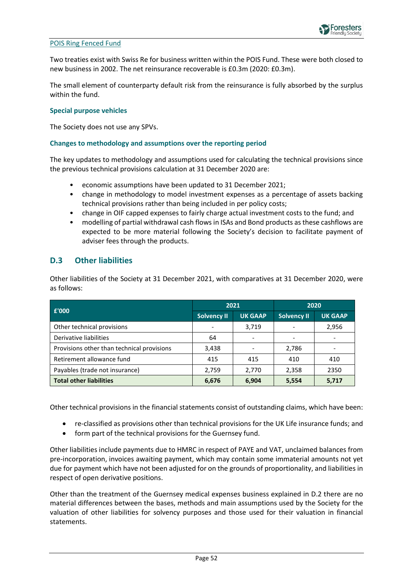#### POIS Ring Fenced Fund

Two treaties exist with Swiss Re for business written within the POIS Fund. These were both closed to new business in 2002. The net reinsurance recoverable is £0.3m (2020: £0.3m).

The small element of counterparty default risk from the reinsurance is fully absorbed by the surplus within the fund.

#### **Special purpose vehicles**

The Society does not use any SPVs.

#### **Changes to methodology and assumptions over the reporting period**

The key updates to methodology and assumptions used for calculating the technical provisions since the previous technical provisions calculation at 31 December 2020 are:

- economic assumptions have been updated to 31 December 2021;
- change in methodology to model investment expenses as a percentage of assets backing technical provisions rather than being included in per policy costs;
- change in OIF capped expenses to fairly charge actual investment costs to the fund; and
- modelling of partial withdrawal cash flows in ISAs and Bond products as these cashflows are expected to be more material following the Society's decision to facilitate payment of adviser fees through the products.

### <span id="page-51-0"></span>**D.3 Other liabilities**

Other liabilities of the Society at 31 December 2021, with comparatives at 31 December 2020, were as follows:

| £'000                                      | 2021               |                | 2020               |                |
|--------------------------------------------|--------------------|----------------|--------------------|----------------|
|                                            | <b>Solvency II</b> | <b>UK GAAP</b> | <b>Solvency II</b> | <b>UK GAAP</b> |
| Other technical provisions                 |                    | 3,719          |                    | 2,956          |
| Derivative liabilities                     | 64                 |                |                    |                |
| Provisions other than technical provisions | 3,438              |                | 2,786              |                |
| Retirement allowance fund                  | 415                | 415            | 410                | 410            |
| Payables (trade not insurance)             | 2,759              | 2,770          | 2,358              | 2350           |
| <b>Total other liabilities</b>             | 6,676              | 6,904          | 5,554              | 5,717          |

Other technical provisions in the financial statements consist of outstanding claims, which have been:

- re-classified as provisions other than technical provisions for the UK Life insurance funds; and
- form part of the technical provisions for the Guernsey fund.

Other liabilities include payments due to HMRC in respect of PAYE and VAT, unclaimed balances from pre-incorporation, invoices awaiting payment, which may contain some immaterial amounts not yet due for payment which have not been adjusted for on the grounds of proportionality, and liabilities in respect of open derivative positions.

Other than the treatment of the Guernsey medical expenses business explained in D.2 there are no material differences between the bases, methods and main assumptions used by the Society for the valuation of other liabilities for solvency purposes and those used for their valuation in financial statements.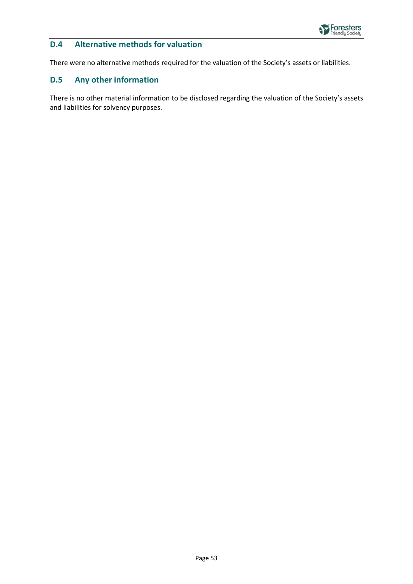

### <span id="page-52-0"></span>**D.4 Alternative methods for valuation**

There were no alternative methods required for the valuation of the Society's assets or liabilities.

### <span id="page-52-1"></span>**D.5 Any other information**

There is no other material information to be disclosed regarding the valuation of the Society's assets and liabilities for solvency purposes.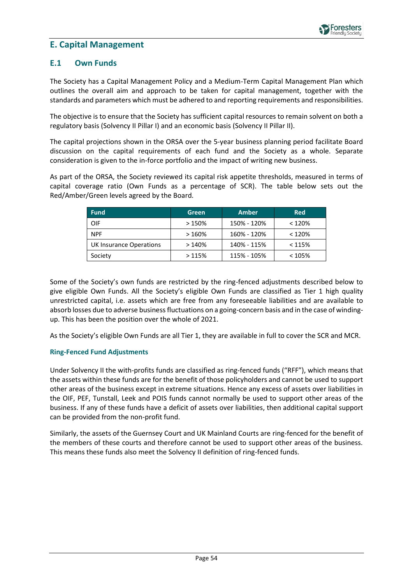### <span id="page-53-0"></span>**E. Capital Management**

### <span id="page-53-1"></span>**E.1 Own Funds**

The Society has a Capital Management Policy and a Medium-Term Capital Management Plan which outlines the overall aim and approach to be taken for capital management, together with the standards and parameters which must be adhered to and reporting requirements and responsibilities.

The objective is to ensure that the Society has sufficient capital resources to remain solvent on both a regulatory basis (Solvency II Pillar I) and an economic basis (Solvency II Pillar II).

The capital projections shown in the ORSA over the 5-year business planning period facilitate Board discussion on the capital requirements of each fund and the Society as a whole. Separate consideration is given to the in-force portfolio and the impact of writing new business.

As part of the ORSA, the Society reviewed its capital risk appetite thresholds, measured in terms of capital coverage ratio (Own Funds as a percentage of SCR). The table below sets out the Red/Amber/Green levels agreed by the Board.

| <b>Fund</b>             | Green | <b>Amber</b> | <b>Red</b> |
|-------------------------|-------|--------------|------------|
| OIF                     | >150% | 150% - 120%  | < 120%     |
| <b>NPF</b>              | >160% | 160% - 120%  | < 120%     |
| UK Insurance Operations | >140% | 140% - 115%  | < 115%     |
| Society                 | >115% | 115% - 105%  | < 105%     |

Some of the Society's own funds are restricted by the ring-fenced adjustments described below to give eligible Own Funds. All the Society's eligible Own Funds are classified as Tier 1 high quality unrestricted capital, i.e. assets which are free from any foreseeable liabilities and are available to absorb losses due to adverse business fluctuations on a going-concern basis and in the case of windingup. This has been the position over the whole of 2021.

As the Society's eligible Own Funds are all Tier 1, they are available in full to cover the SCR and MCR.

#### **Ring-Fenced Fund Adjustments**

Under Solvency II the with-profits funds are classified as ring-fenced funds ("RFF"), which means that the assets within these funds are for the benefit of those policyholders and cannot be used to support other areas of the business except in extreme situations. Hence any excess of assets over liabilities in the OIF, PEF, Tunstall, Leek and POIS funds cannot normally be used to support other areas of the business. If any of these funds have a deficit of assets over liabilities, then additional capital support can be provided from the non-profit fund.

Similarly, the assets of the Guernsey Court and UK Mainland Courts are ring-fenced for the benefit of the members of these courts and therefore cannot be used to support other areas of the business. This means these funds also meet the Solvency II definition of ring-fenced funds.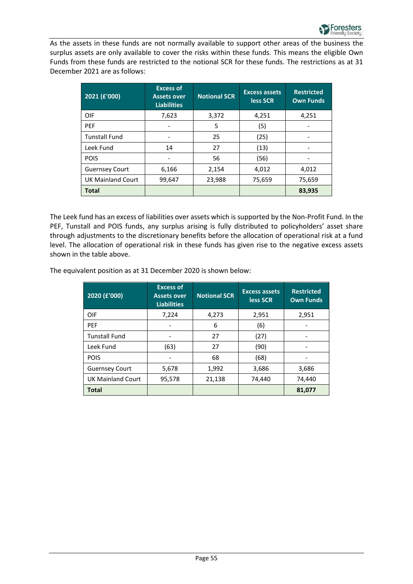As the assets in these funds are not normally available to support other areas of the business the surplus assets are only available to cover the risks within these funds. This means the eligible Own Funds from these funds are restricted to the notional SCR for these funds. The restrictions as at 31 December 2021 are as follows:

| 2021 (f'000)             | <b>Excess of</b><br><b>Assets over</b><br><b>Liabilities</b> | <b>Notional SCR</b> | <b>Excess assets</b><br>less SCR | <b>Restricted</b><br><b>Own Funds</b> |
|--------------------------|--------------------------------------------------------------|---------------------|----------------------------------|---------------------------------------|
| OIF                      | 7,623                                                        | 3,372               | 4,251                            | 4,251                                 |
| <b>PEF</b>               |                                                              | 5                   | (5)                              |                                       |
| <b>Tunstall Fund</b>     |                                                              | 25                  | (25)                             |                                       |
| Leek Fund                | 14                                                           | 27                  | (13)                             |                                       |
| <b>POIS</b>              |                                                              | 56                  | (56)                             |                                       |
| <b>Guernsey Court</b>    | 6,166                                                        | 2,154               | 4,012                            | 4,012                                 |
| <b>UK Mainland Court</b> | 99,647                                                       | 23,988              | 75,659                           | 75,659                                |
| <b>Total</b>             |                                                              |                     |                                  | 83,935                                |

The Leek fund has an excess of liabilities over assets which is supported by the Non-Profit Fund. In the PEF, Tunstall and POIS funds, any surplus arising is fully distributed to policyholders' asset share through adjustments to the discretionary benefits before the allocation of operational risk at a fund level. The allocation of operational risk in these funds has given rise to the negative excess assets shown in the table above.

The equivalent position as at 31 December 2020 is shown below:

| 2020 (£'000)             | <b>Excess of</b><br><b>Assets over</b><br><b>Liabilities</b> | <b>Notional SCR</b> | <b>Excess assets</b><br>less SCR | <b>Restricted</b><br><b>Own Funds</b> |
|--------------------------|--------------------------------------------------------------|---------------------|----------------------------------|---------------------------------------|
| OIF                      | 7,224                                                        | 4,273               | 2,951                            | 2,951                                 |
| <b>PEF</b>               |                                                              | 6                   | (6)                              |                                       |
| <b>Tunstall Fund</b>     |                                                              | 27                  | (27)                             |                                       |
| Leek Fund                | (63)                                                         | 27                  | (90)                             |                                       |
| <b>POIS</b>              |                                                              | 68                  | (68)                             |                                       |
| <b>Guernsey Court</b>    | 5,678                                                        | 1,992               | 3,686                            | 3,686                                 |
| <b>UK Mainland Court</b> | 95,578                                                       | 21,138              | 74,440                           | 74,440                                |
| <b>Total</b>             |                                                              |                     |                                  | 81,077                                |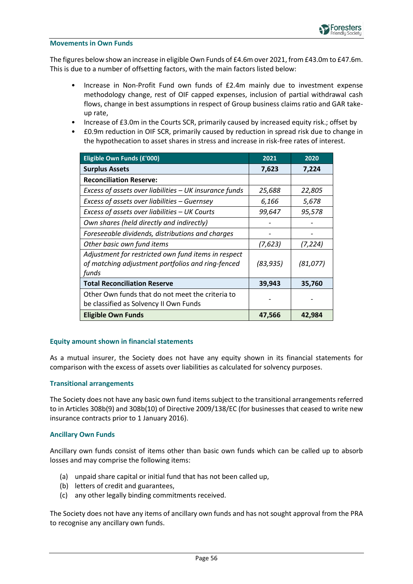#### **Movements in Own Funds**

The figures below show an increase in eligible Own Funds of £4.6m over 2021, from £43.0m to £47.6m. This is due to a number of offsetting factors, with the main factors listed below:

- Increase in Non-Profit Fund own funds of £2.4m mainly due to investment expense methodology change, rest of OIF capped expenses, inclusion of partial withdrawal cash flows, change in best assumptions in respect of Group business claims ratio and GAR takeup rate,
- Increase of £3.0m in the Courts SCR, primarily caused by increased equity risk.; offset by
- £0.9m reduction in OIF SCR, primarily caused by reduction in spread risk due to change in the hypothecation to asset shares in stress and increase in risk-free rates of interest.

| Eligible Own Funds (£'000)                                                                                        | 2021      | 2020      |
|-------------------------------------------------------------------------------------------------------------------|-----------|-----------|
| <b>Surplus Assets</b>                                                                                             | 7,623     | 7,224     |
| <b>Reconciliation Reserve:</b>                                                                                    |           |           |
| Excess of assets over liabilities - UK insurance funds                                                            | 25,688    | 22,805    |
| Excess of assets over liabilities - Guernsey                                                                      | 6,166     | 5,678     |
| Excess of assets over liabilities - UK Courts                                                                     | 99,647    | 95,578    |
| Own shares (held directly and indirectly)                                                                         |           |           |
| Foreseeable dividends, distributions and charges                                                                  |           |           |
| Other basic own fund items                                                                                        | (7,623)   | (7, 224)  |
| Adjustment for restricted own fund items in respect<br>of matching adjustment portfolios and ring-fenced<br>funds | (83, 935) | (81, 077) |
| <b>Total Reconciliation Reserve</b>                                                                               | 39,943    | 35,760    |
| Other Own funds that do not meet the criteria to<br>be classified as Solvency II Own Funds                        |           |           |
| <b>Eligible Own Funds</b>                                                                                         | 47,566    | 42,984    |

#### **Equity amount shown in financial statements**

As a mutual insurer, the Society does not have any equity shown in its financial statements for comparison with the excess of assets over liabilities as calculated for solvency purposes.

#### **Transitional arrangements**

The Society does not have any basic own fund items subject to the transitional arrangements referred to in Articles 308b(9) and 308b(10) of Directive 2009/138/EC (for businesses that ceased to write new insurance contracts prior to 1 January 2016).

#### **Ancillary Own Funds**

Ancillary own funds consist of items other than basic own funds which can be called up to absorb losses and may comprise the following items:

- (a) unpaid share capital or initial fund that has not been called up,
- (b) letters of credit and guarantees,
- (c) any other legally binding commitments received.

The Society does not have any items of ancillary own funds and has not sought approval from the PRA to recognise any ancillary own funds.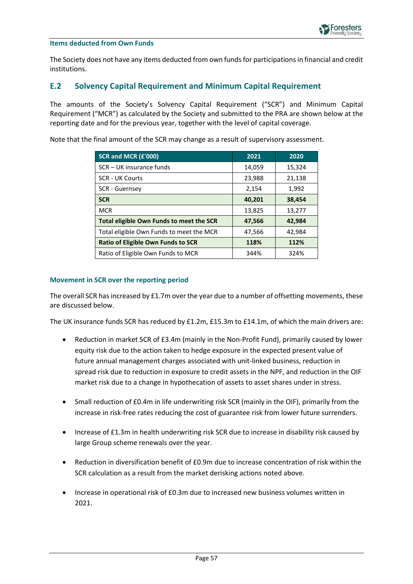#### **Items deducted from Own Funds**

The Society does not have any items deducted from own funds for participations in financial and credit institutions.

### <span id="page-56-0"></span>**E.2 Solvency Capital Requirement and Minimum Capital Requirement**

The amounts of the Society's Solvency Capital Requirement ("SCR") and Minimum Capital Requirement ("MCR") as calculated by the Society and submitted to the PRA are shown below at the reporting date and for the previous year, together with the level of capital coverage.

Note that the final amount of the SCR may change as a result of supervisory assessment.

| SCR and MCR (£'000)                       | 2021   | 2020   |
|-------------------------------------------|--------|--------|
| SCR – UK insurance funds                  | 14,059 | 15,324 |
| <b>SCR - UK Courts</b>                    | 23,988 | 21,138 |
| <b>SCR - Guernsey</b>                     | 2,154  | 1,992  |
| <b>SCR</b>                                | 40,201 | 38,454 |
| <b>MCR</b>                                | 13,825 | 13,277 |
| Total eligible Own Funds to meet the SCR  | 47,566 | 42,984 |
| Total eligible Own Funds to meet the MCR  | 47,566 | 42,984 |
| <b>Ratio of Eligible Own Funds to SCR</b> | 118%   | 112%   |
| Ratio of Eligible Own Funds to MCR        | 344%   | 324%   |

#### **Movement in SCR over the reporting period**

The overall SCR has increased by £1.7m over the year due to a number of offsetting movements, these are discussed below.

The UK insurance funds SCR has reduced by £1.2m, £15.3m to £14.1m, of which the main drivers are:

- Reduction in market SCR of £3.4m (mainly in the Non-Profit Fund), primarily caused by lower equity risk due to the action taken to hedge exposure in the expected present value of future annual management charges associated with unit-linked business, reduction in spread risk due to reduction in exposure to credit assets in the NPF, and reduction in the OIF market risk due to a change in hypothecation of assets to asset shares under in stress.
- Small reduction of £0.4m in life underwriting risk SCR (mainly in the OIF), primarily from the increase in risk-free rates reducing the cost of guarantee risk from lower future surrenders.
- Increase of £1.3m in health underwriting risk SCR due to increase in disability risk caused by large Group scheme renewals over the year.
- Reduction in diversification benefit of £0.9m due to increase concentration of risk within the SCR calculation as a result from the market derisking actions noted above.
- Increase in operational risk of £0.3m due to increased new business volumes written in 2021.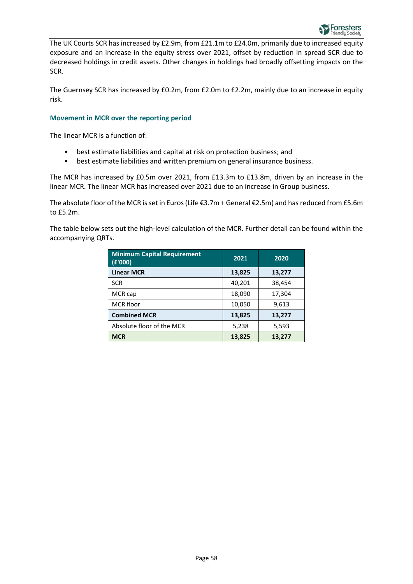The UK Courts SCR has increased by £2.9m, from £21.1m to £24.0m, primarily due to increased equity exposure and an increase in the equity stress over 2021, offset by reduction in spread SCR due to decreased holdings in credit assets. Other changes in holdings had broadly offsetting impacts on the SCR.

The Guernsey SCR has increased by £0.2m, from £2.0m to £2.2m, mainly due to an increase in equity risk.

#### **Movement in MCR over the reporting period**

The linear MCR is a function of:

- best estimate liabilities and capital at risk on protection business; and
- best estimate liabilities and written premium on general insurance business.

The MCR has increased by £0.5m over 2021, from £13.3m to £13.8m, driven by an increase in the linear MCR. The linear MCR has increased over 2021 due to an increase in Group business.

The absolute floor of the MCR is set in Euros (Life €3.7m + General €2.5m) and has reduced from £5.6m to £5.2m.

The table below sets out the high-level calculation of the MCR. Further detail can be found within the accompanying QRTs.

| <b>Minimum Capital Requirement</b><br>E'000) | 2021   | 2020   |
|----------------------------------------------|--------|--------|
| <b>Linear MCR</b>                            | 13,825 | 13,277 |
| <b>SCR</b>                                   | 40,201 | 38,454 |
| MCR cap                                      | 18,090 | 17,304 |
| <b>MCR</b> floor                             | 10,050 | 9,613  |
| <b>Combined MCR</b>                          | 13,825 | 13,277 |
| Absolute floor of the MCR                    | 5,238  | 5,593  |
| <b>MCR</b>                                   | 13,825 | 13,277 |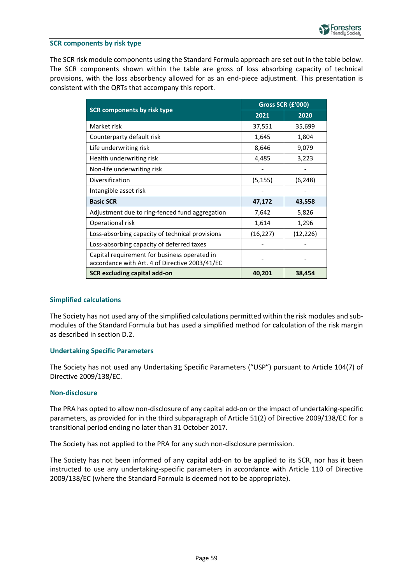

#### **SCR components by risk type**

The SCR risk module components using the Standard Formula approach are set out in the table below. The SCR components shown within the table are gross of loss absorbing capacity of technical provisions, with the loss absorbency allowed for as an end-piece adjustment. This presentation is consistent with the QRTs that accompany this report.

|                                                                                                | Gross SCR (£'000) |          |
|------------------------------------------------------------------------------------------------|-------------------|----------|
| <b>SCR components by risk type</b>                                                             | 2021              | 2020     |
| Market risk                                                                                    | 37,551            | 35,699   |
| Counterparty default risk                                                                      | 1,645             | 1,804    |
| Life underwriting risk                                                                         | 8,646             | 9,079    |
| Health underwriting risk                                                                       | 4,485             | 3,223    |
| Non-life underwriting risk                                                                     |                   |          |
| Diversification                                                                                | (5, 155)          | (6, 248) |
| Intangible asset risk                                                                          |                   |          |
| <b>Basic SCR</b>                                                                               | 47,172            | 43,558   |
| Adjustment due to ring-fenced fund aggregation                                                 | 7,642             | 5,826    |
| Operational risk                                                                               | 1,614             | 1,296    |
| Loss-absorbing capacity of technical provisions                                                | (16, 227)         | (12,226) |
| Loss-absorbing capacity of deferred taxes                                                      |                   |          |
| Capital requirement for business operated in<br>accordance with Art. 4 of Directive 2003/41/EC |                   |          |
| <b>SCR excluding capital add-on</b>                                                            | 40,201            | 38,454   |

#### **Simplified calculations**

The Society has not used any of the simplified calculations permitted within the risk modules and submodules of the Standard Formula but has used a simplified method for calculation of the risk margin as described in section D.2.

#### **Undertaking Specific Parameters**

The Society has not used any Undertaking Specific Parameters ("USP") pursuant to Article 104(7) of Directive 2009/138/EC.

#### **Non-disclosure**

The PRA has opted to allow non-disclosure of any capital add-on or the impact of undertaking-specific parameters, as provided for in the third subparagraph of Article 51(2) of Directive 2009/138/EC for a transitional period ending no later than 31 October 2017.

The Society has not applied to the PRA for any such non-disclosure permission.

The Society has not been informed of any capital add-on to be applied to its SCR, nor has it been instructed to use any undertaking-specific parameters in accordance with Article 110 of Directive 2009/138/EC (where the Standard Formula is deemed not to be appropriate).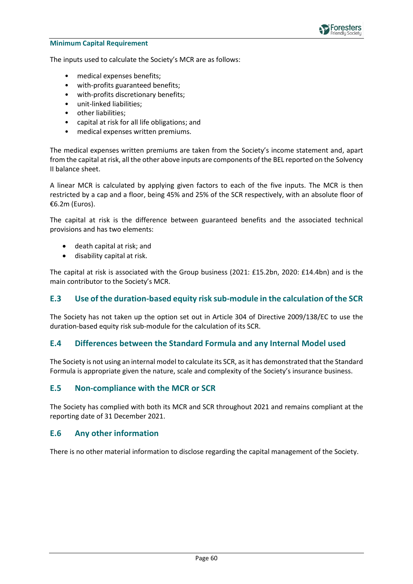

#### **Minimum Capital Requirement**

The inputs used to calculate the Society's MCR are as follows:

- medical expenses benefits;
- with-profits guaranteed benefits;
- with-profits discretionary benefits;
- unit-linked liabilities;
- other liabilities;
- capital at risk for all life obligations; and
- medical expenses written premiums.

The medical expenses written premiums are taken from the Society's income statement and, apart from the capital at risk, all the other above inputs are components of the BEL reported on the Solvency II balance sheet.

A linear MCR is calculated by applying given factors to each of the five inputs. The MCR is then restricted by a cap and a floor, being 45% and 25% of the SCR respectively, with an absolute floor of €6.2m (Euros).

The capital at risk is the difference between guaranteed benefits and the associated technical provisions and has two elements:

- death capital at risk; and
- disability capital at risk.

The capital at risk is associated with the Group business (2021: £15.2bn, 2020: £14.4bn) and is the main contributor to the Society's MCR.

### <span id="page-59-0"></span>**E.3 Use of the duration-based equity risk sub-module in the calculation of the SCR**

The Society has not taken up the option set out in Article 304 of Directive 2009/138/EC to use the duration-based equity risk sub-module for the calculation of its SCR.

#### <span id="page-59-1"></span>**E.4 Differences between the Standard Formula and any Internal Model used**

The Society is not using an internal model to calculate its SCR, as it has demonstrated that the Standard Formula is appropriate given the nature, scale and complexity of the Society's insurance business.

#### <span id="page-59-2"></span>**E.5 Non-compliance with the MCR or SCR**

The Society has complied with both its MCR and SCR throughout 2021 and remains compliant at the reporting date of 31 December 2021.

#### <span id="page-59-3"></span>**E.6 Any other information**

There is no other material information to disclose regarding the capital management of the Society.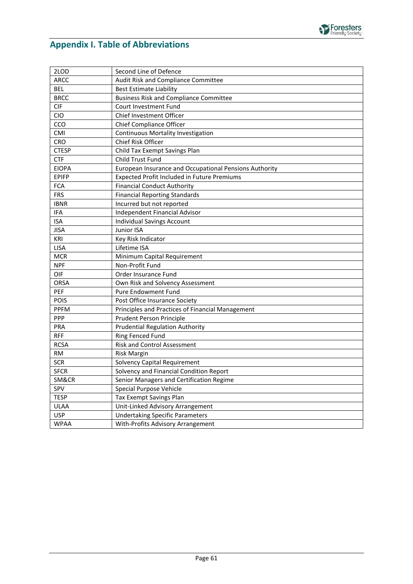

## <span id="page-60-0"></span>**Appendix I. Table of Abbreviations**

| 2LOD         | Second Line of Defence                                 |
|--------------|--------------------------------------------------------|
| <b>ARCC</b>  | Audit Risk and Compliance Committee                    |
| <b>BEL</b>   | <b>Best Estimate Liability</b>                         |
| <b>BRCC</b>  | <b>Business Risk and Compliance Committee</b>          |
| <b>CIF</b>   | Court Investment Fund                                  |
| <b>CIO</b>   | Chief Investment Officer                               |
| CCO          | Chief Compliance Officer                               |
| CMI          | <b>Continuous Mortality Investigation</b>              |
| CRO          | Chief Risk Officer                                     |
| <b>CTESP</b> | Child Tax Exempt Savings Plan                          |
| <b>CTF</b>   | Child Trust Fund                                       |
| <b>EIOPA</b> | European Insurance and Occupational Pensions Authority |
| <b>EPIFP</b> | Expected Profit Included in Future Premiums            |
| <b>FCA</b>   | <b>Financial Conduct Authority</b>                     |
| <b>FRS</b>   | <b>Financial Reporting Standards</b>                   |
| <b>IBNR</b>  | Incurred but not reported                              |
| <b>IFA</b>   | Independent Financial Advisor                          |
| <b>ISA</b>   | <b>Individual Savings Account</b>                      |
| <b>JISA</b>  | Junior ISA                                             |
| KRI          | Key Risk Indicator                                     |
| <b>LISA</b>  | Lifetime ISA                                           |
| <b>MCR</b>   | Minimum Capital Requirement                            |
| <b>NPF</b>   | Non-Profit Fund                                        |
| OIF          | Order Insurance Fund                                   |
| <b>ORSA</b>  | Own Risk and Solvency Assessment                       |
| PEF          | Pure Endowment Fund                                    |
| POIS         | Post Office Insurance Society                          |
| <b>PPFM</b>  | Principles and Practices of Financial Management       |
| PPP          | <b>Prudent Person Principle</b>                        |
| PRA          | <b>Prudential Regulation Authority</b>                 |
| <b>RFF</b>   | Ring Fenced Fund                                       |
| <b>RCSA</b>  | <b>Risk and Control Assessment</b>                     |
| RM           | <b>Risk Margin</b>                                     |
| <b>SCR</b>   | Solvency Capital Requirement                           |
| <b>SFCR</b>  | Solvency and Financial Condition Report                |
| SM&CR        | Senior Managers and Certification Regime               |
| SPV          | Special Purpose Vehicle                                |
| <b>TESP</b>  | Tax Exempt Savings Plan                                |
| <b>ULAA</b>  | Unit-Linked Advisory Arrangement                       |
| <b>USP</b>   | <b>Undertaking Specific Parameters</b>                 |
| <b>WPAA</b>  | With-Profits Advisory Arrangement                      |